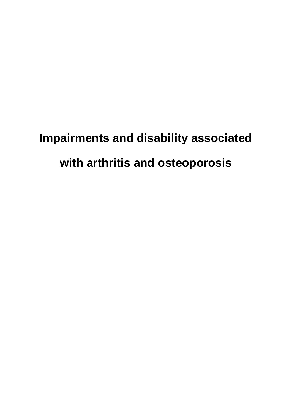# **Impairments and disability associated with arthritis and osteoporosis**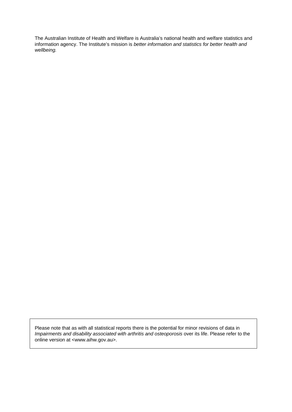The Australian Institute of Health and Welfare is Australia's national health and welfare statistics and information agency. The Institute's mission is *better information and statistics for better health and wellbeing.*

Please note that as with all statistical reports there is the potential for minor revisions of data in *Impairments and disability associated with arthritis and osteoporosis* over its life. Please refer to the online version at <www.aihw.gov.au>.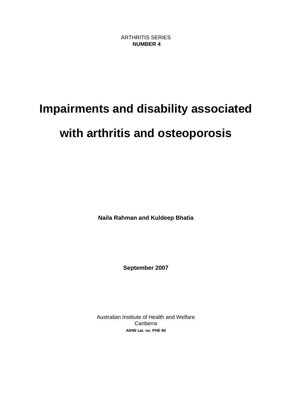# **Impairments and disability associated**

# **with arthritis and osteoporosis**

**Naila Rahman and Kuldeep Bhatia** 

**September 2007** 

Australian Institute of Health and Welfare Canberra **AIHW cat. no. PHE 90**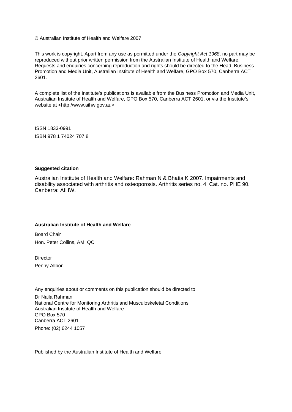© Australian Institute of Health and Welfare 2007

This work is copyright. Apart from any use as permitted under the *Copyright Act 1968*, no part may be reproduced without prior written permission from the Australian Institute of Health and Welfare. Requests and enquiries concerning reproduction and rights should be directed to the Head, Business Promotion and Media Unit, Australian Institute of Health and Welfare, GPO Box 570, Canberra ACT 2601.

A complete list of the Institute's publications is available from the Business Promotion and Media Unit, Australian Institute of Health and Welfare, GPO Box 570, Canberra ACT 2601, or via the Institute's website at <http://www.aihw.gov.au>.

ISSN 1833-0991 ISBN 978 1 74024 707 8

#### **Suggested citation**

Australian Institute of Health and Welfare: Rahman N & Bhatia K 2007. Impairments and disability associated with arthritis and osteoporosis. Arthritis series no. 4. Cat. no. PHE 90. Canberra: AIHW.

#### **Australian Institute of Health and Welfare**

Board Chair Hon. Peter Collins, AM, QC

**Director** Penny Allbon

Any enquiries about or comments on this publication should be directed to:

Dr Naila Rahman National Centre for Monitoring Arthritis and Musculoskeletal Conditions Australian Institute of Health and Welfare GPO Box 570 Canberra ACT 2601 Phone: (02) 6244 1057

Published by the Australian Institute of Health and Welfare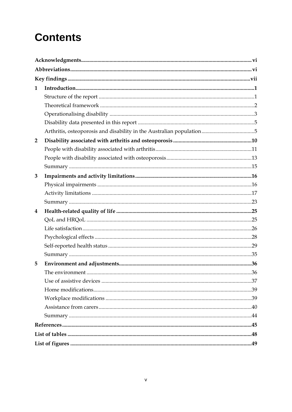# **Contents**

| $\mathbf{1}$   |  |
|----------------|--|
|                |  |
|                |  |
|                |  |
|                |  |
|                |  |
| $\overline{2}$ |  |
|                |  |
|                |  |
|                |  |
| 3              |  |
|                |  |
|                |  |
|                |  |
| 4              |  |
|                |  |
|                |  |
|                |  |
|                |  |
|                |  |
| 5              |  |
|                |  |
|                |  |
|                |  |
|                |  |
|                |  |
|                |  |
|                |  |
|                |  |
|                |  |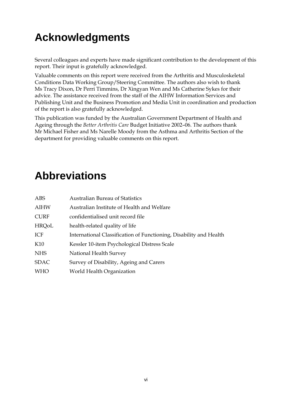# <span id="page-5-0"></span>**Acknowledgments**

Several colleagues and experts have made significant contribution to the development of this report. Their input is gratefully acknowledged.

Valuable comments on this report were received from the Arthritis and Musculoskeletal Conditions Data Working Group/Steering Committee. The authors also wish to thank Ms Tracy Dixon, Dr Perri Timmins, Dr Xingyan Wen and Ms Catherine Sykes for their advice. The assistance received from the staff of the AIHW Information Services and Publishing Unit and the Business Promotion and Media Unit in coordination and production of the report is also gratefully acknowledged.

This publication was funded by the Australian Government Department of Health and Ageing through the *Better Arthritis Care* Budget Initiative 2002–06. The authors thank Mr Michael Fisher and Ms Narelle Moody from the Asthma and Arthritis Section of the department for providing valuable comments on this report.

# **Abbreviations**

| <b>ABS</b>   | <b>Australian Bureau of Statistics</b>                             |
|--------------|--------------------------------------------------------------------|
| <b>AIHW</b>  | Australian Institute of Health and Welfare                         |
| <b>CURF</b>  | confidentialised unit record file                                  |
| <b>HRQoL</b> | health-related quality of life                                     |
| ICF          | International Classification of Functioning, Disability and Health |
| K10          | Kessler 10-item Psychological Distress Scale                       |
| <b>NHS</b>   | National Health Survey                                             |
| <b>SDAC</b>  | Survey of Disability, Ageing and Carers                            |
| <b>WHO</b>   | World Health Organization                                          |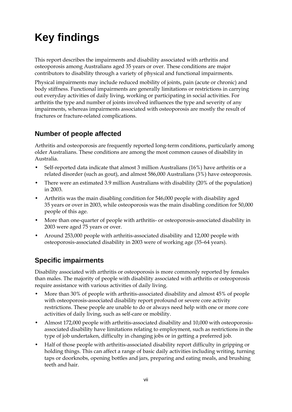# <span id="page-6-0"></span>**Key findings**

This report describes the impairments and disability associated with arthritis and osteoporosis among Australians aged 35 years or over. These conditions are major contributors to disability through a variety of physical and functional impairments.

Physical impairments may include reduced mobility of joints, pain (acute or chronic) and body stiffness. Functional impairments are generally limitations or restrictions in carrying out everyday activities of daily living, working or participating in social activities. For arthritis the type and number of joints involved influences the type and severity of any impairments, whereas impairments associated with osteoporosis are mostly the result of fractures or fracture-related complications.

### **Number of people affected**

Arthritis and osteoporosis are frequently reported long-term conditions, particularly among older Australians. These conditions are among the most common causes of disability in Australia.

- Self-reported data indicate that almost 3 million Australians (16%) have arthritis or a related disorder (such as gout), and almost 586,000 Australians (3%) have osteoporosis.
- There were an estimated 3.9 million Australians with disability (20% of the population) in 2003.
- Arthritis was the main disabling condition for 546,000 people with disability aged 35 years or over in 2003, while osteoporosis was the main disabling condition for 50,000 people of this age.
- More than one-quarter of people with arthritis- or osteoporosis-associated disability in 2003 were aged 75 years or over.
- Around 253,000 people with arthritis-associated disability and 12,000 people with osteoporosis-associated disability in 2003 were of working age (35–64 years).

### **Specific impairments**

Disability associated with arthritis or osteoporosis is more commonly reported by females than males. The majority of people with disability associated with arthritis or osteoporosis require assistance with various activities of daily living.

- More than 30% of people with arthritis-associated disability and almost 45% of people with osteoporosis-associated disability report profound or severe core activity restrictions. These people are unable to do or always need help with one or more core activities of daily living, such as self-care or mobility.
- Almost 172,000 people with arthritis-associated disability and 10,000 with osteoporosisassociated disability have limitations relating to employment, such as restrictions in the type of job undertaken, difficulty in changing jobs or in getting a preferred job.
- Half of those people with arthritis-associated disability report difficulty in gripping or holding things. This can affect a range of basic daily activities including writing, turning taps or doorknobs, opening bottles and jars, preparing and eating meals, and brushing teeth and hair.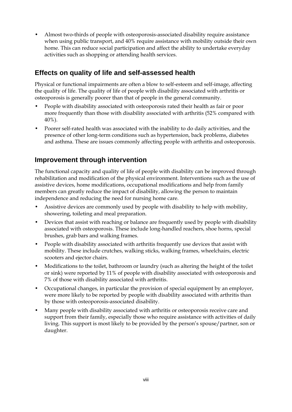• Almost two-thirds of people with osteoporosis-associated disability require assistance when using public transport, and 40% require assistance with mobility outside their own home. This can reduce social participation and affect the ability to undertake everyday activities such as shopping or attending health services.

### **Effects on quality of life and self-assessed health**

Physical or functional impairments are often a blow to self-esteem and self-image, affecting the quality of life. The quality of life of people with disability associated with arthritis or osteoporosis is generally poorer than that of people in the general community.

- People with disability associated with osteoporosis rated their health as fair or poor more frequently than those with disability associated with arthritis (52% compared with 40%).
- Poorer self-rated health was associated with the inability to do daily activities, and the presence of other long-term conditions such as hypertension, back problems, diabetes and asthma. These are issues commonly affecting people with arthritis and osteoporosis.

### **Improvement through intervention**

The functional capacity and quality of life of people with disability can be improved through rehabilitation and modification of the physical environment. Interventions such as the use of assistive devices, home modifications, occupational modifications and help from family members can greatly reduce the impact of disability, allowing the person to maintain independence and reducing the need for nursing home care.

- Assistive devices are commonly used by people with disability to help with mobility, showering, toileting and meal preparation.
- Devices that assist with reaching or balance are frequently used by people with disability associated with osteoporosis. These include long-handled reachers, shoe horns, special brushes, grab bars and walking frames.
- People with disability associated with arthritis frequently use devices that assist with mobility. These include crutches, walking sticks, walking frames, wheelchairs, electric scooters and ejector chairs.
- Modifications to the toilet, bathroom or laundry (such as altering the height of the toilet or sink) were reported by 11% of people with disability associated with osteoporosis and 7% of those with disability associated with arthritis.
- Occupational changes, in particular the provision of special equipment by an employer, were more likely to be reported by people with disability associated with arthritis than by those with osteoporosis-associated disability.
- Many people with disability associated with arthritis or osteoporosis receive care and support from their family, especially those who require assistance with activities of daily living. This support is most likely to be provided by the person's spouse/partner, son or daughter.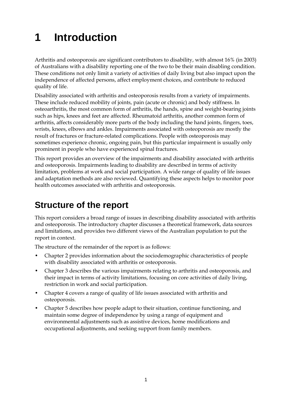# <span id="page-8-0"></span>**1 Introduction**

Arthritis and osteoporosis are significant contributors to disability, with almost 16% (in 2003) of Australians with a disability reporting one of the two to be their main disabling condition. These conditions not only limit a variety of activities of daily living but also impact upon the independence of affected persons, affect employment choices, and contribute to reduced quality of life.

Disability associated with arthritis and osteoporosis results from a variety of impairments. These include reduced mobility of joints, pain (acute or chronic) and body stiffness. In osteoarthritis, the most common form of arthritis, the hands, spine and weight-bearing joints such as hips, knees and feet are affected. Rheumatoid arthritis, another common form of arthritis, affects considerably more parts of the body including the hand joints, fingers, toes, wrists, knees, elbows and ankles. Impairments associated with osteoporosis are mostly the result of fractures or fracture-related complications. People with osteoporosis may sometimes experience chronic, ongoing pain, but this particular impairment is usually only prominent in people who have experienced spinal fractures.

This report provides an overview of the impairments and disability associated with arthritis and osteoporosis. Impairments leading to disability are described in terms of activity limitation, problems at work and social participation. A wide range of quality of life issues and adaptation methods are also reviewed. Quantifying these aspects helps to monitor poor health outcomes associated with arthritis and osteoporosis.

# **Structure of the report**

This report considers a broad range of issues in describing disability associated with arthritis and osteoporosis. The introductory chapter discusses a theoretical framework, data sources and limitations, and provides two different views of the Australian population to put the report in context.

The structure of the remainder of the report is as follows:

- Chapter 2 provides information about the sociodemographic characteristics of people with disability associated with arthritis or osteoporosis.
- Chapter 3 describes the various impairments relating to arthritis and osteoporosis, and their impact in terms of activity limitations, focusing on core activities of daily living, restriction in work and social participation.
- Chapter 4 covers a range of quality of life issues associated with arthritis and osteoporosis.
- Chapter 5 describes how people adapt to their situation, continue functioning, and maintain some degree of independence by using a range of equipment and environmental adjustments such as assistive devices, home modifications and occupational adjustments, and seeking support from family members.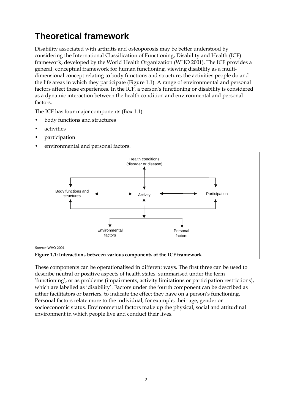# <span id="page-9-0"></span>**Theoretical framework**

Disability associated with arthritis and osteoporosis may be better understood by considering the International Classification of Functioning, Disability and Health (ICF) framework, developed by the World Health Organization (WHO 2001). The ICF provides a general, conceptual framework for human functioning, viewing disability as a multidimensional concept relating to body functions and structure, the activities people do and the life areas in which they participate (Figure 1.1). A range of environmental and personal factors affect these experiences. In the ICF, a person's functioning or disability is considered as a dynamic interaction between the health condition and environmental and personal factors.

The ICF has four major components  $(Box 1.1)$ :

- body functions and structures
- *activities*
- participation
- environmental and personal factors.



These components can be operationalised in different ways. The first three can be used to 'functioning', or as problems (impairments, activity limitations or participation restrictions), describe neutral or positive aspects of health states, summarised under the term which are labelled as 'disability'. Factors under the fourth component can be described as either facilitators or barriers, to indicate the effect they have on a person's functioning. Personal factors relate more to the individual, for example, their age, gender or socioeconomic status. Environmental factors make up the physical, social and attitudinal environment in which people live and conduct their lives.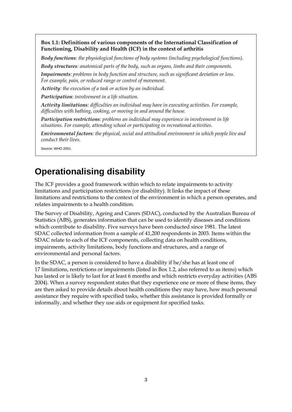<span id="page-10-0"></span>**Box 1.1: Definitions of various components of the International Classification of Functioning, Disability and Health (ICF) in the context of arthritis** 

*Body functions: the physiological functions of body systems (including psychological functions). Body structures: anatomical parts of the body, such as organs, limbs and their components.* 

*Impairments: problems in body function and structure, such as significant deviation or loss. For example, pain, or reduced range or control of movement.* 

*Activity: the execution of a task or action by an individual.* 

*Participation: involvement in a life situation.* 

*Activity limitations: difficulties an individual may have in executing activities. For example, difficulties with bathing, cooking, or moving in and around the house.* 

*Participation restrictions: problems an individual may experience in involvement in life situations. For example, attending school or participating in recreational activities.* 

*Environmental factors: the physical, social and attitudinal environment in which people live and conduct their lives.* 

Source: WHO 2001.

### **Operationalising disability**

The ICF provides a good framework within which to relate impairments to activity limitations and participation restrictions (or disability). It links the impact of these limitations and restrictions to the context of the environment in which a person operates, and relates impairments to a health condition.

The Survey of Disability, Ageing and Carers (SDAC), conducted by the Australian Bureau of Statistics (ABS), generates information that can be used to identify diseases and conditions which contribute to disability. Five surveys have been conducted since 1981. The latest SDAC collected information from a sample of 41,200 respondents in 2003. Items within the SDAC relate to each of the ICF components, collecting data on health conditions, impairments, activity limitations, body functions and structures, and a range of environmental and personal factors.

In the SDAC, a person is considered to have a disability if he/she has at least one of 17 limitations, restrictions or impairments (listed in Box 1.2, also referred to as items) which has lasted or is likely to last for at least 6 months and which restricts everyday activities (ABS 2004). When a survey respondent states that they experience one or more of these items, they are then asked to provide details about health conditions they may have, how much personal assistance they require with specified tasks, whether this assistance is provided formally or informally, and whether they use aids or equipment for specified tasks.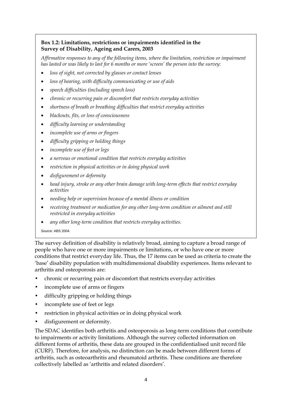#### **Box 1.2: Limitations, restrictions or impairments identified in the Survey of Disability, Ageing and Carers, 2003**

*Affirmative responses to any of the following items, where the limitation, restriction or impairment has lasted or was likely to last for 6 months or more 'screen' the person into the survey:* 

- • *loss of sight, not corrected by glasses or contact lenses*
- • *loss of hearing, with difficulty communicating or use of aids*
- • *speech difficulties (including speech loss)*
- • *chronic or recurring pain or discomfort that restricts everyday activities*
- • *shortness of breath or breathing difficulties that restrict everyday activities*
- • *blackouts, fits, or loss of consciousness*
- • *difficulty learning or understanding*
- • *incomplete use of arms or fingers*
- • *difficulty gripping or holding things*
- • *incomplete use of feet or legs*
- • *a nervous or emotional condition that restricts everyday activities*
- • *restriction in physical activities or in doing physical work*
- • *disfigurement or deformity*
- • *head injury, stroke or any other brain damage with long-term effects that restrict everyday activities*
- • *needing help or supervision because of a mental illness or condition*
- • *receiving treatment or medication for any other long-term condition or ailment and still restricted in everyday activities*
- • *any other long-term condition that restricts everyday activities.*
- Source: ABS 2004.

The survey definition of disability is relatively broad, aiming to capture a broad range of people who have one or more impairments or limitations, or who have one or more conditions that restrict everyday life. Thus, the 17 items can be used as criteria to create the 'base' disability population with multidimensional disability experiences. Items relevant to arthritis and osteoporosis are:

- chronic or recurring pain or discomfort that restricts everyday activities
- incomplete use of arms or fingers
- difficulty gripping or holding things
- incomplete use of feet or legs
- restriction in physical activities or in doing physical work
- disfigurement or deformity.

The SDAC identifies both arthritis and osteoporosis as long-term conditions that contribute to impairments or activity limitations. Although the survey collected information on different forms of arthritis, these data are grouped in the confidentialised unit record file (CURF). Therefore, for analysis, no distinction can be made between different forms of arthritis, such as osteoarthritis and rheumatoid arthritis. These conditions are therefore collectively labelled as 'arthritis and related disorders'.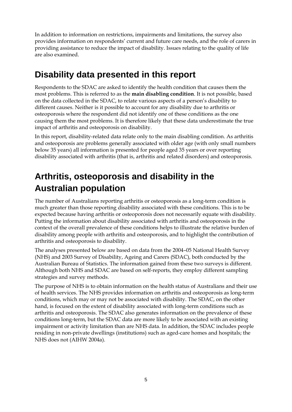<span id="page-12-0"></span>In addition to information on restrictions, impairments and limitations, the survey also provides information on respondents' current and future care needs, and the role of carers in providing assistance to reduce the impact of disability. Issues relating to the quality of life are also examined.

## **Disability data presented in this report**

Respondents to the SDAC are asked to identify the health condition that causes them the most problems. This is referred to as the **main disabling condition**. It is not possible, based on the data collected in the SDAC, to relate various aspects of a person's disability to different causes. Neither is it possible to account for any disability due to arthritis or osteoporosis where the respondent did not identify one of these conditions as the one causing them the most problems. It is therefore likely that these data underestimate the true impact of arthritis and osteoporosis on disability.

In this report, disability-related data relate only to the main disabling condition. As arthritis and osteoporosis are problems generally associated with older age (with only small numbers below 35 years) all information is presented for people aged 35 years or over reporting disability associated with arthritis (that is, arthritis and related disorders) and osteoporosis.

# **Arthritis, osteoporosis and disability in the Australian population**

The number of Australians reporting arthritis or osteoporosis as a long-term condition is much greater than those reporting disability associated with these conditions. This is to be expected because having arthritis or osteoporosis does not necessarily equate with disability. Putting the information about disability associated with arthritis and osteoporosis in the context of the overall prevalence of these conditions helps to illustrate the relative burden of disability among people with arthritis and osteoporosis, and to highlight the contribution of arthritis and osteoporosis to disability.

The analyses presented below are based on data from the 2004–05 National Health Survey (NHS) and 2003 Survey of Disability, Ageing and Carers (SDAC), both conducted by the Australian Bureau of Statistics. The information gained from these two surveys is different. Although both NHS and SDAC are based on self-reports, they employ different sampling strategies and survey methods.

The purpose of NHS is to obtain information on the health status of Australians and their use of health services. The NHS provides information on arthritis and osteoporosis as long-term conditions, which may or may not be associated with disability. The SDAC, on the other hand, is focused on the extent of disability associated with long-term conditions such as arthritis and osteoporosis. The SDAC also generates information on the prevalence of these conditions long-term, but the SDAC data are more likely to be associated with an existing impairment or activity limitation than are NHS data. In addition, the SDAC includes people residing in non-private dwellings (institutions) such as aged-care homes and hospitals; the NHS does not (AIHW 2004a).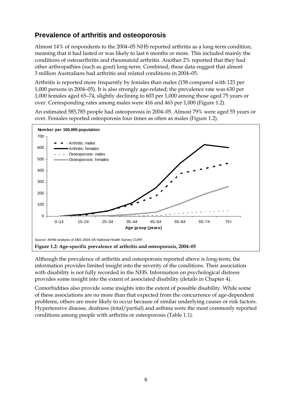### <span id="page-13-0"></span>**Prevalence of arthritis and osteoporosis**

Almost 14% of respondents to the 2004–05 NHS reported arthritis as a long-term condition, meaning that it had lasted or was likely to last 6 months or more. This included mainly the conditions of osteoarthritis and rheumatoid arthritis. Another 2% reported that they had other arthropathies (such as gout) long-term. Combined, these data suggest that almost 3 million Australians had arthritis and related conditions in 2004–05.

Arthritis is reported more frequently by females than males (158 compared with 123 per 1,000 persons in 2004–05). It is also strongly age-related; the prevalence rate was 630 per 1,000 females aged 65–74, slightly declining to 603 per 1,000 among those aged 75 years or over. Corresponding rates among males were 416 and 463 per 1,000 (Figure 1.2).

An estimated 585,785 people had osteoporosis in 2004–05. Almost 79% were aged 55 years or over. Females reported osteoporosis four times as often as males (Figure 1.2).



Although the prevalence of arthritis and osteoporosis reported above is long-term, the information provides limited insight into the severity of the conditions. Their association with disability is not fully recorded in the NHS. Information on psychological distress provides some insight into the extent of associated disability (details in Chapter 4).

Comorbidities also provide some insights into the extent of possible disability. While some of these associations are no more than that expected from the concurrence of age-dependent problems, others are more likely to occur because of similar underlying causes or risk factors. Hypertensive disease, deafness (total/partial) and asthma were the most commonly reported conditions among people with arthritis or osteoporosis (Table 1.1).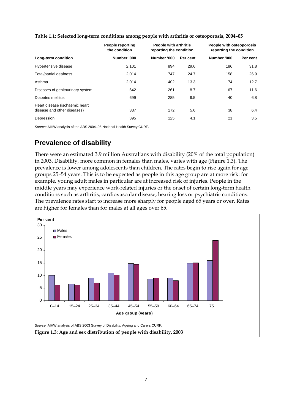|                                                               | <b>People reporting</b><br>the condition |             | People with arthritis<br>reporting the condition |             | People with osteoporosis<br>reporting the condition |
|---------------------------------------------------------------|------------------------------------------|-------------|--------------------------------------------------|-------------|-----------------------------------------------------|
| Long-term condition                                           | Number '000                              | Number '000 | Per cent                                         | Number '000 | Per cent                                            |
| Hypertensive disease                                          | 2,101                                    | 894         | 29.6                                             | 186         | 31.8                                                |
| Total/partial deafness                                        | 2,014                                    | 747         | 24.7                                             | 158         | 26.9                                                |
| Asthma                                                        | 2,014                                    | 402         | 13.3                                             | 74          | 12.7                                                |
| Diseases of genitourinary system                              | 642                                      | 261         | 8.7                                              | 67          | 11.6                                                |
| Diabetes mellitus                                             | 699                                      | 285         | 9.5                                              | 40          | 6.8                                                 |
| Heart disease (ischaemic heart<br>disease and other diseases) | 337                                      | 172         | 5.6                                              | 38          | 6.4                                                 |
| Depression                                                    | 395                                      | 125         | 4.1                                              | 21          | 3.5                                                 |

<span id="page-14-0"></span>

*Source:* AIHW analysis of the ABS 2004–05 National Health Survey CURF.

### **Prevalence of disability**

There were an estimated 3.9 million Australians with disability (20% of the total population) in 2003. Disability, more common in females than males, varies with age (Figure 1.3). The prevalence is lower among adolescents than children. The rates begin to rise again for age groups 25–54 years. This is to be expected as people in this age group are at more risk: for example, young adult males in particular are at increased risk of injuries. People in the middle years may experience work-related injuries or the onset of certain long-term health conditions such as arthritis, cardiovascular disease, hearing loss or psychiatric conditions. The prevalence rates start to increase more sharply for people aged 65 years or over. Rates are higher for females than for males at all ages over 65.

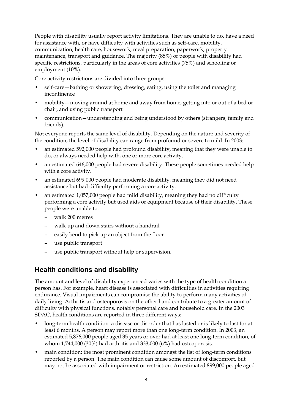People with disability usually report activity limitations. They are unable to do, have a need for assistance with, or have difficulty with activities such as self-care, mobility, communication, health care, housework, meal preparation, paperwork, property maintenance, transport and guidance. The majority (85%) of people with disability had specific restrictions, particularly in the areas of core activities (75%) and schooling or employment (10%).

Core activity restrictions are divided into three groups:

- self-care—bathing or showering, dressing, eating, using the toilet and managing incontinence
- mobility—moving around at home and away from home, getting into or out of a bed or chair, and using public transport
- communication—understanding and being understood by others (strangers, family and friends).

Not everyone reports the same level of disability. Depending on the nature and severity of the condition, the level of disability can range from profound or severe to mild. In 2003:

- an estimated 592,000 people had profound disability, meaning that they were unable to do, or always needed help with, one or more core activity.
- an estimated 646,000 people had severe disability. These people sometimes needed help with a core activity.
- an estimated 699,000 people had moderate disability, meaning they did not need assistance but had difficulty performing a core activity.
- an estimated 1,057,000 people had mild disability, meaning they had no difficulty performing a core activity but used aids or equipment because of their disability. These people were unable to:
	- walk 200 metres
	- walk up and down stairs without a handrail
	- easily bend to pick up an object from the floor
	- use public transport
	- use public transport without help or supervision.

#### **Health conditions and disability**

The amount and level of disability experienced varies with the type of health condition a person has. For example, heart disease is associated with difficulties in activities requiring endurance. Visual impairments can compromise the ability to perform many activities of daily living. Arthritis and osteoporosis on the other hand contribute to a greater amount of difficulty with physical functions, notably personal care and household care. In the 2003 SDAC, health conditions are reported in three different ways:

- long-term health condition: a disease or disorder that has lasted or is likely to last for at least 6 months. A person may report more than one long-term condition. In 2003, an estimated 5,876,000 people aged 35 years or over had at least one long-term condition, of whom 1,744,000 (30%) had arthritis and 333,000 (6%) had osteoporosis.
- main condition: the most prominent condition amongst the list of long-term conditions reported by a person. The main condition can cause some amount of discomfort, but may not be associated with impairment or restriction. An estimated 899,000 people aged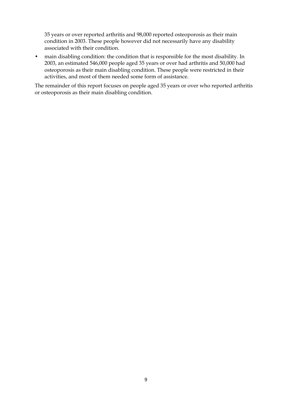35 years or over reported arthritis and 98,000 reported osteoporosis as their main condition in 2003. These people however did not necessarily have any disability associated with their condition.

• main disabling condition: the condition that is responsible for the most disability. In 2003, an estimated 546,000 people aged 35 years or over had arthritis and 50,000 had osteoporosis as their main disabling condition. These people were restricted in their activities, and most of them needed some form of assistance.

The remainder of this report focuses on people aged 35 years or over who reported arthritis or osteoporosis as their main disabling condition.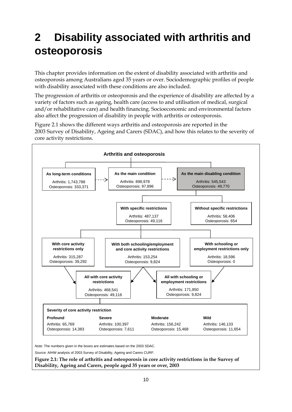# <span id="page-17-0"></span>**2 Disability associated with arthritis and osteoporosis**

This chapter provides information on the extent of disability associated with arthritis and osteoporosis among Australians aged 35 years or over. Sociodemographic profiles of people with disability associated with these conditions are also included.

The progression of arthritis or osteoporosis and the experience of disability are affected by a variety of factors such as ageing, health care (access to and utilisation of medical, surgical and/or rehabilitative care) and health financing. Socioeconomic and environmental factors also affect the progression of disability in people with arthritis or osteoporosis.

Figure 2.1 shows the different ways arthritis and osteoporosis are reported in the 2003 Survey of Disability, Ageing and Carers (SDAC), and how this relates to the severity of core activity restrictions.



*Note:* The numbers given in the boxes are estimates based on the 2003 SDAC.

*Source:* AIHW analysis of 2003 Survey of Disability, Ageing and Carers CURF.

**Figure 2.1: The role of arthritis and osteoporosis in core activity restrictions in the Survey of Disability, Ageing and Carers, people aged 35 years or over, 2003**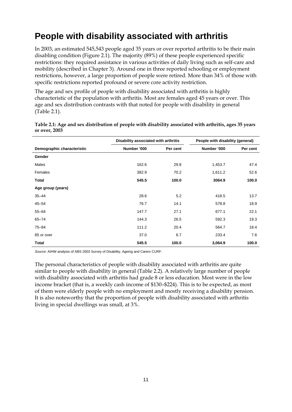# <span id="page-18-0"></span>**People with disability associated with arthritis**

In 2003, an estimated 545,543 people aged 35 years or over reported arthritis to be their main disabling condition (Figure 2.1). The majority (89%) of these people experienced specific restrictions: they required assistance in various activities of daily living such as self-care and mobility (described in Chapter 3). Around one in three reported schooling or employment restrictions, however, a large proportion of people were retired. More than 34% of those with specific restrictions reported profound or severe core activity restriction.

The age and sex profile of people with disability associated with arthritis is highly characteristic of the population with arthritis. Most are females aged 45 years or over. This age and sex distribution contrasts with that noted for people with disability in general (Table 2.1).

|                            | Disability associated with arthritis |          | People with disability (general) |          |
|----------------------------|--------------------------------------|----------|----------------------------------|----------|
| Demographic characteristic | Number '000                          | Per cent | Number '000                      | Per cent |
| Gender                     |                                      |          |                                  |          |
| Males                      | 162.6                                | 29.8     | 1,453.7                          | 47.4     |
| Females                    | 382.9                                | 70.2     | 1,611.2                          | 52.6     |
| Total                      | 545.5                                | 100.0    | 3064.9                           | 100.0    |
| Age group (years)          |                                      |          |                                  |          |
| $35 - 44$                  | 28.6                                 | 5.2      | 418.5                            | 13.7     |
| $45 - 54$                  | 76.7                                 | 14.1     | 578.8                            | 18.9     |
| $55 - 64$                  | 147.7                                | 27.1     | 677.1                            | 22.1     |
| $65 - 74$                  | 144.3                                | 26.5     | 592.3                            | 19.3     |
| $75 - 84$                  | 111.2                                | 20.4     | 564.7                            | 18.4     |
| 85 or over                 | 37.0                                 | 6.7      | 233.4                            | 7.6      |
| Total                      | 545.5                                | 100.0    | 3,064.9                          | 100.0    |

**Table 2.1: Age and sex distribution of people with disability associated with arthritis, ages 35 years or over, 2003** 

*Source:* AIHW analysis of ABS 2003 Survey of Disability, Ageing and Carers CURF.

The personal characteristics of people with disability associated with arthritis are quite similar to people with disability in general (Table 2.2). A relatively large number of people with disability associated with arthritis had grade 8 or less education. Most were in the low income bracket (that is, a weekly cash income of \$130–\$224). This is to be expected, as most of them were elderly people with no employment and mostly receiving a disability pension. It is also noteworthy that the proportion of people with disability associated with arthritis living in special dwellings was small, at 3%.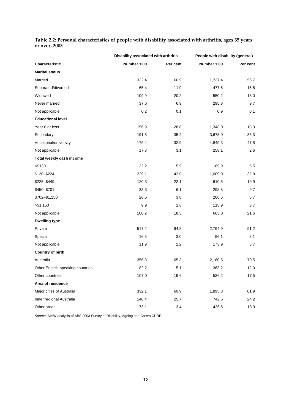|                                  | Disability associated with arthritis | People with disability (general) |             |          |
|----------------------------------|--------------------------------------|----------------------------------|-------------|----------|
| Characteristic                   | Number '000                          | Per cent                         | Number '000 | Per cent |
| <b>Marital status</b>            |                                      |                                  |             |          |
| Married                          | 332.4                                | 60.9                             | 1,737.4     | 56.7     |
| Separated/divorced               | 65.4                                 | 11.9                             | 477.6       | 15.5     |
| Widowed                          | 109.9                                | 20.2                             | 550.2       | 18.0     |
| Never married                    | 37.6                                 | 6.9                              | 295.8       | 9.7      |
| Not applicable                   | 0.2                                  | 0.1                              | 0.9         | 0.1      |
| <b>Educational level</b>         |                                      |                                  |             |          |
| Year 8 or less                   | 156.9                                | 28.8                             | 1,348.0     | 13.3     |
| Secondary                        | 191.8                                | 35.2                             | 3,678.0     | 36.3     |
| Vocational/university            | 179.4                                | 32.9                             | 4,849.3     | 47.8     |
| Not applicable                   | 17.3                                 | 3.1                              | 258.1       | 2.6      |
| Total weekly cash income         |                                      |                                  |             |          |
| $<$ \$130                        | 32.2                                 | 5.9                              | 169.9       | 5.5      |
| \$130-\$224                      | 229.1                                | 42.0                             | 1,009.0     | 32.9     |
| \$225-\$449                      | 120.3                                | 22.1                             | 610.5       | 19.9     |
| \$450-\$701                      | 33.3                                 | 6.1                              | 298.8       | 9.7      |
| \$702-\$1,150                    | 20.5                                 | 3.8                              | 206.6       | 6.7      |
| > \$1,150                        | 9.9                                  | 1.8                              | 115.9       | 3.7      |
| Not applicable                   | 100.2                                | 18.3                             | 663.0       | 21.6     |
| <b>Dwelling type</b>             |                                      |                                  |             |          |
| Private                          | 517.2                                | 94.8                             | 2,794.9     | 91.2     |
| Special                          | 16.5                                 | 3.0                              | 96.1        | 3.1      |
| Not applicable                   | 11.9                                 | 2.2                              | 173.9       | 5.7      |
| <b>Country of birth</b>          |                                      |                                  |             |          |
| Australia                        | 356.3                                | 65.3                             | 2,160.5     | 70.5     |
| Other English-speaking countries | 82.2                                 | 15.1                             | 368.2       | 12.0     |
| Other countries                  | 107.0                                | 19.6                             | 536.2       | 17.5     |
| Area of residence                |                                      |                                  |             |          |
| Major cities of Australia        | 332.1                                | 60.9                             | 1,895.8     | 61.9     |
| Inner regional Australia         | 140.4                                | 25.7                             | 742.6       | 24.2     |
| Other areas                      | 73.1                                 | 13.4                             | 426.5       | 13.9     |

<span id="page-19-0"></span>**Table 2.2: Personal characteristics of people with disability associated with arthritis, ages 35 years or over, 2003** 

*Source:* AIHW analysis of ABS 2003 Survey of Disability, Ageing and Carers CURF.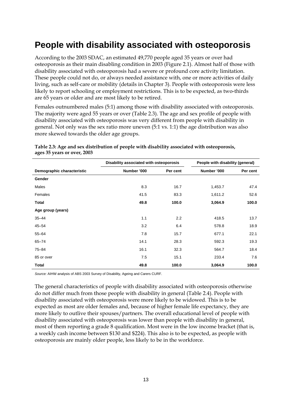## <span id="page-20-0"></span>**People with disability associated with osteoporosis**

According to the 2003 SDAC, an estimated 49,770 people aged 35 years or over had osteoporosis as their main disabling condition in 2003 (Figure 2.1). Almost half of those with disability associated with osteoporosis had a severe or profound core activity limitation. These people could not do, or always needed assistance with, one or more activities of daily living, such as self-care or mobility (details in Chapter 3). People with osteoporosis were less likely to report schooling or employment restrictions. This is to be expected, as two-thirds are 65 years or older and are most likely to be retired.

Females outnumbered males (5:1) among those with disability associated with osteoporosis. The majority were aged 55 years or over (Table 2.3). The age and sex profile of people with disability associated with osteoporosis was very different from people with disability in general. Not only was the sex ratio more uneven (5:1 vs. 1:1) the age distribution was also more skewed towards the older age groups.

|                            | Disability associated with osteoporosis |          | People with disability (general) |          |
|----------------------------|-----------------------------------------|----------|----------------------------------|----------|
| Demographic characteristic | Number '000                             | Per cent | Number '000                      | Per cent |
| Gender                     |                                         |          |                                  |          |
| Males                      | 8.3                                     | 16.7     | 1,453.7                          | 47.4     |
| Females                    | 41.5                                    | 83.3     | 1,611.2                          | 52.6     |
| Total                      | 49.8                                    | 100.0    | 3,064.9                          | 100.0    |
| Age group (years)          |                                         |          |                                  |          |
| $35 - 44$                  | 1.1                                     | 2.2      | 418.5                            | 13.7     |
| $45 - 54$                  | 3.2                                     | 6.4      | 578.8                            | 18.9     |
| $55 - 64$                  | 7.8                                     | 15.7     | 677.1                            | 22.1     |
| $65 - 74$                  | 14.1                                    | 28.3     | 592.3                            | 19.3     |
| $75 - 84$                  | 16.1                                    | 32.3     | 564.7                            | 18.4     |
| 85 or over                 | 7.5                                     | 15.1     | 233.4                            | 7.6      |
| <b>Total</b>               | 49.8                                    | 100.0    | 3,064.9                          | 100.0    |

#### **Table 2.3: Age and sex distribution of people with disability associated with osteoporosis, ages 35 years or over, 2003**

*Source:* AIHW analysis of ABS 2003 Survey of Disability, Ageing and Carers CURF.

The general characteristics of people with disability associated with osteoporosis otherwise do not differ much from those people with disability in general (Table 2.4). People with disability associated with osteoporosis were more likely to be widowed. This is to be expected as most are older females and, because of higher female life expectancy, they are more likely to outlive their spouses/partners. The overall educational level of people with disability associated with osteoporosis was lower than people with disability in general, most of them reporting a grade 8 qualification. Most were in the low income bracket (that is, a weekly cash income between \$130 and \$224). This also is to be expected, as people with osteoporosis are mainly older people, less likely to be in the workforce.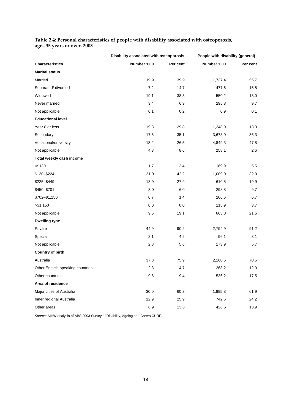|                                  |             | Disability associated with osteoporosis<br>People with disability (general) |             |          |  |  |
|----------------------------------|-------------|-----------------------------------------------------------------------------|-------------|----------|--|--|
| <b>Characteristics</b>           | Number '000 | Per cent                                                                    | Number '000 | Per cent |  |  |
| <b>Marital status</b>            |             |                                                                             |             |          |  |  |
| Married                          | 19.9        | 39.9                                                                        | 1,737.4     | 56.7     |  |  |
| Separated/divorced               | 7.2         | 14.7                                                                        | 477.6       | 15.5     |  |  |
| Widowed                          | 19.1        | 38.3                                                                        | 550.2       | 18.0     |  |  |
| Never married                    | 3.4         | 6.9                                                                         | 295.8       | 9.7      |  |  |
| Not applicable                   | 0.1         | 0.2                                                                         | 0.9         | 0.1      |  |  |
| <b>Educational level</b>         |             |                                                                             |             |          |  |  |
| Year 8 or less                   | 19.8        | 29.8                                                                        | 1,348.0     | 13.3     |  |  |
| Secondary                        | 17.5        | 35.1                                                                        | 3,678.0     | 36.3     |  |  |
| Vocational/university            | 13.2        | 26.5                                                                        | 4,849.3     | 47.8     |  |  |
| Not applicable                   | 4.3         | 8.6                                                                         | 258.1       | 2.6      |  |  |
| Total weekly cash income         |             |                                                                             |             |          |  |  |
| $<$ \$130                        | 1.7         | 3.4                                                                         | 169.9       | 5.5      |  |  |
| \$130-\$224                      | 21.0        | 42.2                                                                        | 1,009.0     | 32.9     |  |  |
| \$225-\$449                      | 13.9        | 27.9                                                                        | 610.5       | 19.9     |  |  |
| \$450-\$701                      | 3.0         | 6.0                                                                         | 298.8       | 9.7      |  |  |
| \$702-\$1,150                    | 0.7         | 1.4                                                                         | 206.6       | 6.7      |  |  |
| > \$1,150                        | 0.0         | 0.0                                                                         | 115.9       | 3.7      |  |  |
| Not applicable                   | 9.5         | 19.1                                                                        | 663.0       | 21.6     |  |  |
| <b>Dwelling type</b>             |             |                                                                             |             |          |  |  |
| Private                          | 44.9        | 90.2                                                                        | 2,794.9     | 91.2     |  |  |
| Special                          | 2.1         | 4.2                                                                         | 96.1        | 3.1      |  |  |
| Not applicable                   | 2.8         | 5.6                                                                         | 173.9       | 5.7      |  |  |
| <b>Country of birth</b>          |             |                                                                             |             |          |  |  |
| Australia                        | 37.8        | 75.9                                                                        | 2,160.5     | 70.5     |  |  |
| Other English-speaking countries | 2.3         | 4.7                                                                         | 368.2       | 12.0     |  |  |
| Other countries                  | 9.6         | 19.4                                                                        | 536.2       | 17.5     |  |  |
| Area of residence                |             |                                                                             |             |          |  |  |
| Major cities of Australia        | 30.0        | 60.3                                                                        | 1,895.8     | 61.9     |  |  |
| Inner regional Australia         | 12.9        | 25.9                                                                        | 742.6       | 24.2     |  |  |
| Other areas                      | 6.9         | 13.8                                                                        | 426.5       | 13.9     |  |  |

<span id="page-21-0"></span>**Table 2.4: Personal characteristics of people with disability associated with osteoporosis, ages 35 years or over, 2003** 

*Source:* AIHW analysis of ABS 2003 Survey of Disability, Ageing and Carers CURF.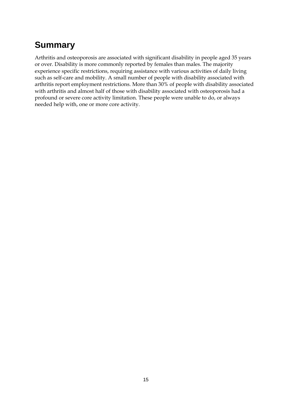# <span id="page-22-0"></span>**Summary**

Arthritis and osteoporosis are associated with significant disability in people aged 35 years or over. Disability is more commonly reported by females than males. The majority experience specific restrictions, requiring assistance with various activities of daily living such as self-care and mobility. A small number of people with disability associated with arthritis report employment restrictions. More than 30% of people with disability associated with arthritis and almost half of those with disability associated with osteoporosis had a profound or severe core activity limitation. These people were unable to do, or always needed help with, one or more core activity.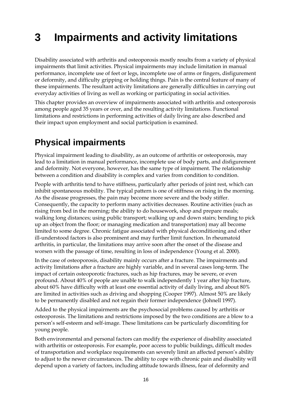# <span id="page-23-0"></span>**3 Impairments and activity limitations**

Disability associated with arthritis and osteoporosis mostly results from a variety of physical impairments that limit activities. Physical impairments may include limitation in manual performance, incomplete use of feet or legs, incomplete use of arms or fingers, disfigurement or deformity, and difficulty gripping or holding things. Pain is the central feature of many of these impairments. The resultant activity limitations are generally difficulties in carrying out everyday activities of living as well as working or participating in social activities.

This chapter provides an overview of impairments associated with arthritis and osteoporosis among people aged 35 years or over, and the resulting activity limitations. Functional limitations and restrictions in performing activities of daily living are also described and their impact upon employment and social participation is examined.

## **Physical impairments**

Physical impairment leading to disability, as an outcome of arthritis or osteoporosis, may lead to a limitation in manual performance, incomplete use of body parts, and disfigurement and deformity. Not everyone, however, has the same type of impairment. The relationship between a condition and disability is complex and varies from condition to condition.

People with arthritis tend to have stiffness, particularly after periods of joint rest, which can inhibit spontaneous mobility. The typical pattern is one of stiffness on rising in the morning. As the disease progresses, the pain may become more severe and the body stiffer. Consequently, the capacity to perform many activities decreases. Routine activities (such as rising from bed in the morning; the ability to do housework, shop and prepare meals; walking long distances; using public transport; walking up and down stairs; bending to pick up an object from the floor; or managing medication and transportation) may all become limited to some degree. Chronic fatigue associated with physical deconditioning and other ill-understood factors is also prominent and may further limit function. In rheumatoid arthritis, in particular, the limitations may arrive soon after the onset of the disease and worsen with the passage of time, resulting in loss of independence (Young et al. 2000).

In the case of osteoporosis, disability mainly occurs after a fracture. The impairments and activity limitations after a fracture are highly variable, and in several cases long-term. The impact of certain osteoporotic fractures, such as hip fractures, may be severe, or even profound. About 40% of people are unable to walk independently 1 year after hip fracture, about 60% have difficulty with at least one essential activity of daily living, and about 80% are limited in activities such as driving and shopping (Cooper 1997). Almost 50% are likely to be permanently disabled and not regain their former independence (Johnell 1997).

Added to the physical impairments are the psychosocial problems caused by arthritis or osteoporosis. The limitations and restrictions imposed by the two conditions are a blow to a person's self-esteem and self-image. These limitations can be particularly discomfiting for young people.

Both environmental and personal factors can modify the experience of disability associated with arthritis or osteoporosis. For example, poor access to public buildings, difficult modes of transportation and workplace requirements can severely limit an affected person's ability to adjust to the newer circumstances. The ability to cope with chronic pain and disability will depend upon a variety of factors, including attitude towards illness, fear of deformity and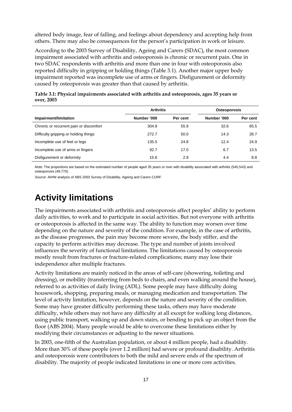<span id="page-24-0"></span>altered body image, fear of falling, and feelings about dependency and accepting help from others. There may also be consequences for the person's participation in work or leisure.

According to the 2003 Survey of Disability, Ageing and Carers (SDAC), the most common impairment associated with arthritis and osteoporosis is chronic or recurrent pain. One in two SDAC respondents with arthritis and more than one in four with osteoporosis also reported difficulty in gripping or holding things (Table 3.1). Another major upper body impairment reported was incomplete use of arms or fingers. Disfigurement or deformity caused by osteoporosis was greater than that caused by arthritis.

|                                         | <b>Arthritis</b> |          | <b>Osteoporosis</b> |          |  |
|-----------------------------------------|------------------|----------|---------------------|----------|--|
| Impairment/limitation                   | Number '000      | Per cent | Number '000         | Per cent |  |
| Chronic or recurrent pain or discomfort | 304.8            | 55.9     | 32.6                | 65.5     |  |
| Difficulty gripping or holding things   | 272.7            | 50.0     | 14.3                | 28.7     |  |
| Incomplete use of feet or legs          | 135.5            | 24.8     | 12.4                | 24.9     |  |
| Incomplete use of arms or fingers       | 92.7             | 17.0     | 6.7                 | 13.5     |  |
| Disfigurement or deformity              | 15.6             | 2.9      | 4.4                 | 8.8      |  |

**Table 3.1: Physical impairments associated with arthritis and osteoporosis, ages 35 years or over, 2003** 

*Note:* The proportions are based on the estimated number of people aged 35 years or over with disability associated with arthritis (545,543) and osteoporosis (49,770).

*Source:* AIHW analysis of ABS 2003 Survey of Disability, Ageing and Carers CURF.

## **Activity limitations**

The impairments associated with arthritis and osteoporosis affect peoples' ability to perform daily activities, to work and to participate in social activities. But not everyone with arthritis or osteoporosis is affected in the same way. The ability to function may worsen over time depending on the nature and severity of the condition. For example, in the case of arthritis, as the disease progresses, the pain may become more severe, the body stiffer, and the capacity to perform activities may decrease. The type and number of joints involved influences the severity of functional limitations. The limitations caused by osteoporosis mostly result from fractures or fracture-related complications; many may lose their independence after multiple fractures.

Activity limitations are mainly noticed in the areas of self-care (showering, toileting and dressing), or mobility (transferring from beds to chairs, and even walking around the house), referred to as activities of daily living (ADL). Some people may have difficulty doing housework, shopping, preparing meals, or managing medication and transportation. The level of activity limitation, however, depends on the nature and severity of the condition. Some may have greater difficulty performing these tasks, others may have moderate difficulty, while others may not have any difficulty at all except for walking long distances, using public transport, walking up and down stairs, or bending to pick up an object from the floor (ABS 2004). Many people would be able to overcome these limitations either by modifying their circumstances or adjusting to the newer situations.

In 2003, one-fifth of the Australian population, or about 4 million people, had a disability. More than 30% of these people (over 1.2 million) had severe or profound disability. Arthritis and osteoporosis were contributors to both the mild and severe ends of the spectrum of disability. The majority of people indicated limitations in one or more core activities.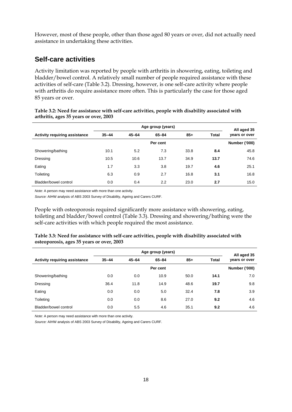<span id="page-25-0"></span>However, most of these people, other than those aged 80 years or over, did not actually need assistance in undertaking these activities.

#### **Self-care activities**

Activity limitation was reported by people with arthritis in showering, eating, toileting and bladder/bowel control. A relatively small number of people required assistance with these activities of self-care (Table 3.2). Dressing, however, is one self-care activity where people with arthritis do require assistance more often. This is particularly the case for those aged 85 years or over.

|                               | Age group (years) |           |           |       |       | All aged 35   |
|-------------------------------|-------------------|-----------|-----------|-------|-------|---------------|
| Activity requiring assistance | $35 - 44$         | $45 - 64$ | $65 - 84$ | $85+$ | Total | years or over |
|                               |                   |           | Per cent  |       |       | Number ('000) |
| Showering/bathing             | 10.1              | 5.2       | 7.3       | 33.8  | 8.4   | 45.8          |
| Dressing                      | 10.5              | 10.6      | 13.7      | 34.9  | 13.7  | 74.6          |
| Eating                        | 1.7               | 3.3       | 3.8       | 19.7  | 4.6   | 25.1          |
| Toileting                     | 6.3               | 0.9       | 2.7       | 16.8  | 3.1   | 16.8          |
| Bladder/bowel control         | 0.0               | 0.4       | 2.2       | 23.0  | 2.7   | 15.0          |

**Table 3.2: Need for assistance with self-care activities, people with disability associated with arthritis, ages 35 years or over, 2003** 

*Note:* A person may need assistance with more than one activity.

*Source:* AIHW analysis of ABS 2003 Survey of Disability, Ageing and Carers CURF.

People with osteoporosis required significantly more assistance with showering, eating, toileting and bladder/bowel control (Table 3.3). Dressing and showering/bathing were the self-care activities with which people required the most assistance.

| Table 3.3: Need for assistance with self-care activities, people with disability associated with |  |
|--------------------------------------------------------------------------------------------------|--|
| osteoporosis, ages 35 years or over, 2003                                                        |  |

|                                      | Age group (years) |           |           |       |              | All aged 35          |
|--------------------------------------|-------------------|-----------|-----------|-------|--------------|----------------------|
| <b>Activity requiring assistance</b> | $35 - 44$         | $45 - 64$ | $65 - 84$ | $85+$ | <b>Total</b> | years or over        |
|                                      |                   |           | Per cent  |       |              | <b>Number ('000)</b> |
| Showering/bathing                    | 0.0               | 0.0       | 10.9      | 50.0  | 14.1         | 7.0                  |
| Dressing                             | 36.4              | 11.8      | 14.9      | 48.6  | 19.7         | 9.8                  |
| Eating                               | 0.0               | 0.0       | 5.0       | 32.4  | 7.8          | 3.9                  |
| Toileting                            | 0.0               | 0.0       | 8.6       | 27.0  | 9.2          | 4.6                  |
| Bladder/bowel control                | 0.0               | 5.5       | 4.6       | 35.1  | 9.2          | 4.6                  |

*Note:* A person may need assistance with more than one activity.

*Source:* AIHW analysis of ABS 2003 Survey of Disability, Ageing and Carers CURF.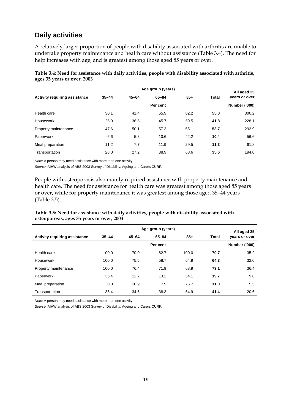### <span id="page-26-0"></span>**Daily activities**

A relatively larger proportion of people with disability associated with arthritis are unable to undertake property maintenance and health care without assistance (Table 3.4). The need for help increases with age, and is greatest among those aged 85 years or over.

|                                      | Age group (years) |           |          |       |              | All aged 35   |
|--------------------------------------|-------------------|-----------|----------|-------|--------------|---------------|
| <b>Activity requiring assistance</b> | $35 - 44$         | $45 - 64$ | 65-84    | $85+$ | <b>Total</b> | years or over |
|                                      |                   |           | Per cent |       |              | Number ('000) |
| Health care                          | 30.1              | 41.4      | 65.9     | 82.2  | 55.0         | 300.2         |
| Housework                            | 25.9              | 36.5      | 45.7     | 59.5  | 41.8         | 228.1         |
| Property maintenance                 | 47.6              | 50.1      | 57.3     | 55.1  | 53.7         | 292.9         |
| Paperwork                            | 6.6               | 5.3       | 10.6     | 42.2  | 10.4         | 56.6          |
| Meal preparation                     | 11.2              | 7.7       | 11.9     | 29.5  | 11.3         | 61.8          |
| Transportation                       | 28.0              | 27.2      | 38.9     | 68.6  | 35.6         | 194.0         |

Table 3.4: Need for assistance with daily activities, people with disability associated with arthritis, **ages 35 years or over, 2003** 

*Note:* A person may need assistance with more than one activity.

Source: AIHW analysis of ABS 2003 Survey of Disability, Ageing and Carers CURF.

People with osteoporosis also mainly required assistance with property maintenance and health care. The need for assistance for health care was greatest among those aged 85 years or over, while for property maintenance it was greatest among those aged 35–44 years (Table 3.5).

#### Table 3.5: Need for assistance with daily activities, people with disability associated with **osteoporosis, ages 35 years or over, 2003**

|                                      |           | All aged 35 |          |       |              |                      |
|--------------------------------------|-----------|-------------|----------|-------|--------------|----------------------|
| <b>Activity requiring assistance</b> | $35 - 44$ | $45 - 64$   | 65-84    | $85+$ | <b>Total</b> | years or over        |
|                                      |           |             | Per cent |       |              | <b>Number ('000)</b> |
| Health care                          | 100.0     | 70.0        | 62.7     | 100.0 | 70.7         | 35.2                 |
| Housework                            | 100.0     | 75.5        | 58.7     | 64.9  | 64.3         | 32.0                 |
| Property maintenance                 | 100.0     | 76.4        | 71.9     | 68.9  | 73.1         | 36.4                 |
| Paperwork                            | 36.4      | 12.7        | 13.2     | 54.1  | 19.7         | 9.8                  |
| Meal preparation                     | 0.0       | 10.9        | 7.9      | 25.7  | 11.0         | 5.5                  |
| Transportation                       | 36.4      | 34.5        | 38.3     | 64.9  | 41.4         | 20.6                 |

*Note:* A person may need assistance with more than one activity.

Source: AIHW analysis of ABS 2003 Survey of Disability, Ageing and Carers CURF.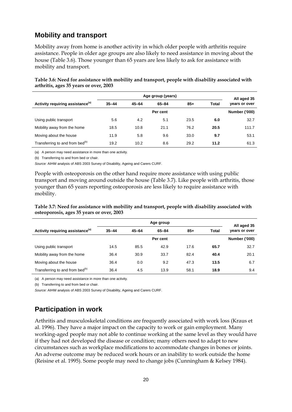#### <span id="page-27-0"></span>**Mobility and transport**

Mobility away from home is another activity in which older people with arthritis require assistance. People in older age groups are also likely to need assistance in moving about the house (Table 3.6). Those younger than 65 years are less likely to ask for assistance with mobility and transport.

|                                              |           | All aged 35 |           |       |       |                      |
|----------------------------------------------|-----------|-------------|-----------|-------|-------|----------------------|
| Activity requiring assistance <sup>(a)</sup> | $35 - 44$ | $45 - 64$   | $65 - 84$ | $85+$ | Total | years or over        |
|                                              |           |             | Per cent  |       |       | <b>Number ('000)</b> |
| Using public transport                       | 5.6       | 4.2         | 5.1       | 23.5  | 6.0   | 32.7                 |
| Mobility away from the home                  | 18.5      | 10.8        | 21.1      | 76.2  | 20.5  | 111.7                |
| Moving about the house                       | 11.9      | 5.8         | 9.6       | 33.0  | 9.7   | 53.1                 |
| Transferring to and from bed <sup>(b)</sup>  | 19.2      | 10.2        | 8.6       | 29.2  | 11.2  | 61.3                 |

Table 3.6: Need for assistance with mobility and transport, people with disability associated with **arthritis, ages 35 years or over, 2003** 

(a) A person may need assistance in more than one activity.

(b) Transferring to and from bed or chair.

Source: AIHW analysis of ABS 2003 Survey of Disability, Ageing and Carers CURF.

People with osteoporosis on the other hand require more assistance with using public transport and moving around outside the house (Table 3.7). Like people with arthritis, those younger than 65 years reporting osteoporosis are less likely to require assistance with mobility.

Table 3.7: Need for assistance with mobility and transport, people with disability associated with **osteoporosis, ages 35 years or over, 2003** 

|                                              |           | All aged 35 |           |       |              |                      |
|----------------------------------------------|-----------|-------------|-----------|-------|--------------|----------------------|
| Activity requiring assistance <sup>(a)</sup> | $35 - 44$ | $45 - 64$   | $65 - 84$ | $85+$ | <b>Total</b> | years or over        |
|                                              |           |             | Per cent  |       |              | <b>Number ('000)</b> |
| Using public transport                       | 14.5      | 85.5        | 42.9      | 17.6  | 65.7         | 32.7                 |
| Mobility away from the home                  | 36.4      | 30.9        | 33.7      | 82.4  | 40.4         | 20.1                 |
| Moving about the house                       | 36.4      | 0.0         | 9.2       | 47.3  | 13.5         | 6.7                  |
| Transferring to and from bed <sup>(b)</sup>  | 36.4      | 4.5         | 13.9      | 58.1  | 18.9         | 9.4                  |

(a) A person may need assistance in more than one activity.

(b) Transferring to and from bed or chair.

Source: AIHW analysis of ABS 2003 Survey of Disability, Ageing and Carers CURF.

### **Participation in work**

Arthritis and musculoskeletal conditions are frequently associated with work loss (Kraus et working-aged people may not able to continue working at the same level as they would have al. 1996). They have a major impact on the capacity to work or gain employment. Many if they had not developed the disease or condition; many others need to adapt to new circumstances such as workplace modifications to accommodate changes in bones or joints. An adverse outcome may be reduced work hours or an inability to work outside the home (Reisine et al. 1995). Some people may need to change jobs (Cunningham & Kelsey 1984).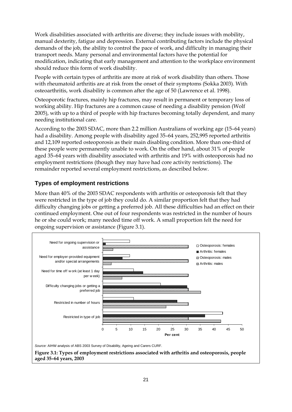<span id="page-28-0"></span>Work disabilities associated with arthritis are diverse; they include issues with mobility, manual dexterity, fatigue and depression. External contributing factors include the physical demands of the job, the ability to control the pace of work, and difficulty in managing their transport needs. Many personal and environmental factors have the potential for modification, indicating that early management and attention to the workplace environment should reduce this form of work disability.

People with certain types of arthritis are more at risk of work disability than others. Those with rheumatoid arthritis are at risk from the onset of their symptoms (Sokka 2003). With osteoarthritis, work disability is common after the age of 50 (Lawrence et al. 1998).

Osteoporotic fractures, mainly hip fractures, may result in permanent or temporary loss of working ability. Hip fractures are a common cause of needing a disability pension (Wolf 2005), with up to a third of people with hip fractures becoming totally dependent, and many needing institutional care.

According to the 2003 SDAC, more than 2.2 million Australians of working age (15–64 years) had a disability. Among people with disability aged 35–64 years, 252,995 reported arthritis and 12,109 reported osteoporosis as their main disabling condition. More than one-third of these people were permanently unable to work. On the other hand, about 31% of people aged 35–64 years with disability associated with arthritis and 19% with osteoporosis had no employment restrictions (though they may have had core activity restrictions). The remainder reported several employment restrictions, as described below.

#### **Types of employment restrictions**

More than 40% of the 2003 SDAC respondents with arthritis or osteoporosis felt that they were restricted in the type of job they could do. A similar proportion felt that they had difficulty changing jobs or getting a preferred job. All these difficulties had an effect on their continued employment. One out of four respondents was restricted in the number of hours he or she could work; many needed time off work. A small proportion felt the need for ongoing supervision or assistance (Figure 3.1).



**Figure 3.1: Types of employment restrictions associated with arthritis and osteoporosis, people aged 35–64 years, 2003**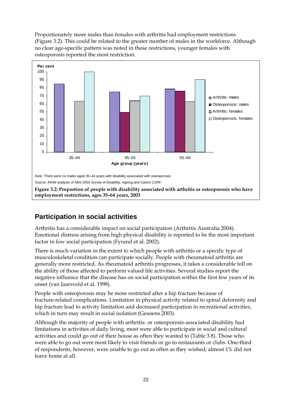<span id="page-29-0"></span>Proportionately more males than females with arthritis had employment restrictions (Figure 3.2). This could be related to the greater number of males in the workforce. Although no clear age-specific pattern was noted in these restrictions, younger females with osteoporosis reported the most restriction.



### **Participation in social activities**

Arthritis has a considerable impact on social participation (Arthritis Australia 2004). Emotional distress arising from high physical disability is reported to be the most important factor in low social participation (Fyrand et al. 2002).

There is much variation in the extent to which people with arthritis or a specific type of musculoskeletal condition can participate socially. People with rheumatoid arthritis are generally more restricted. As rheumatoid arthritis progresses, it takes a considerable toll on the ability of those affected to perform valued life activities. Several studies report the negative influence that the disease has on social participation within the first few years of its onset (van Jaarsveld et al. 1998).

People with osteoporosis may be more restricted after a hip fracture because of fracture-related complications. Limitation in physical activity related to spinal deformity and hip fracture lead to activity limitation and decreased participation in recreational activities, which in turn may result in social isolation (Geusens 2003).

Although the majority of people with arthritis- or osteoporosis-associated disability had limitations in activities of daily living, most were able to participate in social and cultural activities and could go out of their house as often they wanted to (Table 3.8). Those who were able to go out were most likely to visit friends or go to restaurants or clubs. One-third of respondents, however, were unable to go out as often as they wished; almost 1% did not leave home at all.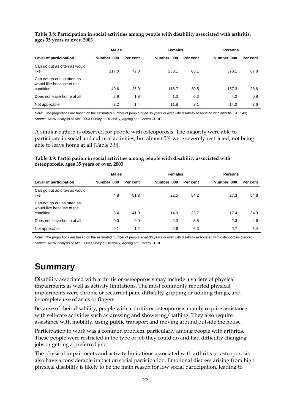#### <span id="page-30-0"></span>**Table 3.8: Participation in social activities among people with disability associated with arthritis, ages 35 years or over, 2003**

|                                                                      | <b>Males</b> |          |             | <b>Females</b> |             | <b>Persons</b> |  |  |
|----------------------------------------------------------------------|--------------|----------|-------------|----------------|-------------|----------------|--|--|
| Level of participation                                               | Number '000  | Per cent | Number '000 | Per cent       | Number '000 | Per cent       |  |  |
| Can go out as often as would<br>like                                 | 117.0        | 72.0     | 253.1       | 66.1           | 370.1       | 67.8           |  |  |
| Can not go out as often as<br>would like because of the<br>condition | 40.6         | 25.0     | 116.7       | 30.5           | 157.3       | 28.8           |  |  |
|                                                                      |              |          |             |                |             |                |  |  |
| Does not leave home at all                                           | 2.9          | 1.8      | 1.3         | 0.3            | 4.2         | 0.8            |  |  |
| Not applicable                                                       | 2.2          | 1.4      | 11.8        | 3.1            | 14.0        | 2.6            |  |  |

*Note:* The proportions are based on the estimated number of people aged 35 years or over with disability associated with arthritis (545,543). *Source:* AIHW analysis of ABS 2003 Survey of Disability, Ageing and Carers CURF.

A similar pattern is observed for people with osteoporosis. The majority were able to participate in social and cultural activities, but almost 5% were severely restricted, not being able to leave home at all (Table 3.9).

#### **Table 3.9: Participation in social activities among people with disability associated with osteoporosis, ages 35 years or over, 2003**

|                                                                      | <b>Males</b> |          |             | <b>Females</b> |             |          |
|----------------------------------------------------------------------|--------------|----------|-------------|----------------|-------------|----------|
| Level of participation                                               | Number '000  | Per cent | Number '000 | Per cent       | Number '000 | Per cent |
| Can go out as often as would<br>like                                 | 4.8          | 51.8     | 22.5        | 54.2           | 27.3        | 54.8     |
| Can not go out as often as<br>would like because of the<br>condition | 3.4          | 41.0     | 14.0        | 33.7           | 17.4        | 34.9     |
| Does not leave home at all                                           | 0.0          | 0.0      | 2.3         | 5.5            | 2.3         | 4.6      |
| Not applicable                                                       | 0.1          | 1.2      | 2.6         | 6.3            | 2.7         | 5.4      |

*Note:* The proportions are based on the estimated number of people aged 35 years or over with disability associated with osteoporosis (49,770). *Source:* AIHW analysis of ABS 2003 Survey of Disability, Ageing and Carers CURF.

## **Summary**

Disability associated with arthritis or osteoporosis may include a variety of physical impairments as well as activity limitations. The most commonly reported physical impairments were chronic or recurrent pain, difficulty gripping or holding things, and incomplete use of arms or fingers.

Because of their disability, people with arthritis or osteoporosis mainly require assistance with self-care activities such as dressing and showering/bathing. They also require assistance with mobility, using public transport and moving around outside the house.

Participation in work was a common problem, particularly among people with arthritis. These people were restricted in the type of job they could do and had difficulty changing jobs or getting a preferred job.

The physical impairments and activity limitations associated with arthritis or osteoporosis also have a considerable impact on social participation. Emotional distress arising from high physical disability is likely to be the main reason for low social participation, leading to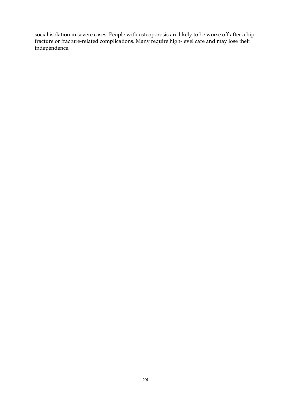social isolation in severe cases. People with osteoporosis are likely to be worse off after a hip fracture or fracture-related complications. Many require high-level care and may lose their independence.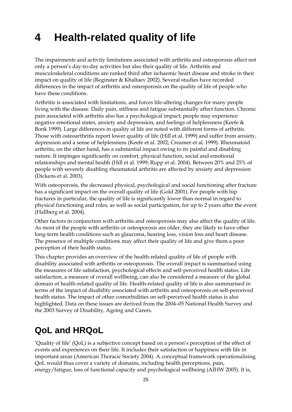# <span id="page-32-0"></span>**4 Health-related quality of life**

The impairments and activity limitations associated with arthritis and osteoporosis affect not only a person's day-to-day activities but also their quality of life. Arthritis and musculoskeletal conditions are ranked third after ischaemic heart disease and stroke in their impact on quality of life (Reginster & Khaltaev 2002). Several studies have recorded differences in the impact of arthritis and osteoporosis on the quality of life of people who have these conditions.

Arthritis is associated with limitations, and forces life-altering changes for many people living with the disease. Daily pain, stiffness and fatigue substantially affect function. Chronic pain associated with arthritis also has a psychological impact; people may experience negative emotional states, anxiety and depression, and feelings of helplessness (Keefe & Bonk 1999). Large differences in quality of life are noted with different forms of arthritis. Those with osteoarthritis report lower quality of life (Hill et al. 1999) and suffer from anxiety, depression and a sense of helplessness (Keefe et al. 2002; Creamer et al. 1999). Rheumatoid arthritis, on the other hand, has a substantial impact owing to its painful and disabling nature. It impinges significantly on comfort, physical function, social and emotional relationships and mental health (Hill et al. 1999; Rupp et al. 2004). Between 20% and 25% of people with severely disabling rheumatoid arthritis are affected by anxiety and depression (Dickens et al. 2003).

With osteoporosis, the decreased physical, psychological and social functioning after fracture has a significant impact on the overall quality of life (Gold 2001). For people with hip fractures in particular, the quality of life is significantly lower than normal in regard to physical functioning and roles, as well as social participation, for up to 2 years after the event (Hallberg et al. 2004).

Other factors in conjunction with arthritis and osteoporosis may also affect the quality of life. As most of the people with arthritis or osteoporosis are older, they are likely to have other long-term health conditions such as glaucoma, hearing loss, vision loss and heart disease. The presence of multiple conditions may affect their quality of life and give them a poor perception of their health status.

This chapter provides an overview of the health-related quality of life of people with disability associated with arthritis or osteoporosis. The overall impact is summarised using the measures of life satisfaction, psychological effects and self-perceived health status. Life satisfaction, a measure of overall wellbeing, can also be considered a measure of the global domain of health-related quality of life. Health-related quality of life is also summarised in terms of the impact of disability associated with arthritis and osteoporosis on self-perceived health status. The impact of other comorbidities on self-perceived health status is also highlighted. Data on these issues are derived from the 2004–05 National Health Survey and the 2003 Survey of Disability, Ageing and Carers.

## **QoL and HRQoL**

'Quality of life' (QoL) is a subjective concept based on a person's perception of the effect of events and experiences on their life. It includes their satisfaction or happiness with life in important areas (American Thoracic Society 2004). A conceptual framework operationalising QoL would thus cover a variety of domains, including health perceptions, pain, energy/fatigue, loss of functional capacity and psychological wellbeing (AIHW 2005). It is,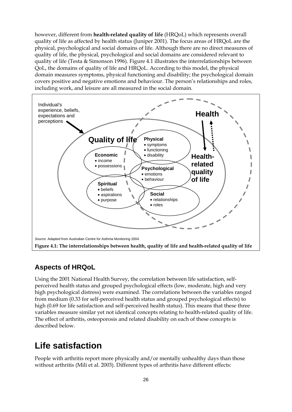<span id="page-33-0"></span>however, different from **health-related quality of life** (HRQoL) which represents overall quality of life as affected by health status (Juniper 2001). The focus areas of HRQoL are the physical, psychological and social domains of life. Although there are no direct measures of quality of life, the physical, psychological and social domains are considered relevant to quality of life (Testa & Simonson 1996). Figure 4.1 illustrates the interrelationships between QoL, the domains of quality of life and HRQoL. According to this model, the physical domain measures symptoms, physical functioning and disability; the psychological domain covers positive and negative emotions and behaviour. The person's relationships and roles, including work, and leisure are all measured in the social domain.



#### **Aspects of HRQoL**

Using the 2001 National Health Survey, the correlation between life satisfaction, selfperceived health status and grouped psychological effects (low, moderate, high and very high psychological distress) were examined. The correlations between the variables ranged from medium (0.33 for self-perceived health status and grouped psychological effects) to high (0.69 for life satisfaction and self-perceived health status). This means that these three variables measure similar yet not identical concepts relating to health-related quality of life. The effect of arthritis, osteoporosis and related disability on each of these concepts is described below.

## **Life satisfaction**

People with arthritis report more physically and/or mentally unhealthy days than those without arthritis (Mili et al. 2003). Different types of arthritis have different effects: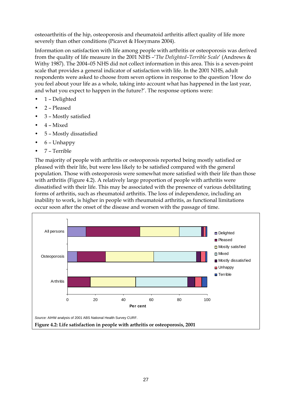<span id="page-34-0"></span>osteoarthritis of the hip, osteoporosis and rheumatoid arthritis affect quality of life more severely than other conditions (Picavet & Hoeymans 2004).

Information on satisfaction with life among people with arthritis or osteoporosis was derived from the quality of life measure in the 2001 NHS –'*The Delighted–Terrible Scale*' (Andrews & Withy 1987). The 2004–05 NHS did not collect information in this area. This is a seven-point scale that provides a general indicator of satisfaction with life. In the 2001 NHS, adult respondents were asked to choose from seven options in response to the question 'How do you feel about your life as a whole, taking into account what has happened in the last year, and what you expect to happen in the future?'. The response options were:

- 1 Delighted
- 2 Pleased
- 3 Mostly satisfied
- 4 Mixed
- 5 Mostly dissatisfied
- 6 Unhappy
- 7 Terrible

The majority of people with arthritis or osteoporosis reported being mostly satisfied or pleased with their life, but were less likely to be satisfied compared with the general population. Those with osteoporosis were somewhat more satisfied with their life than those with arthritis (Figure 4.2). A relatively large proportion of people with arthritis were dissatisfied with their life. This may be associated with the presence of various debilitating forms of arthritis, such as rheumatoid arthritis. The loss of independence, including an inability to work, is higher in people with rheumatoid arthritis, as functional limitations occur soon after the onset of the disease and worsen with the passage of time.

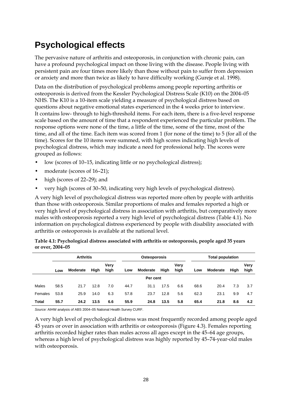# <span id="page-35-0"></span>**Psychological effects**

The pervasive nature of arthritis and osteoporosis, in conjunction with chronic pain, can have a profound psychological impact on those living with the disease. People living with persistent pain are four times more likely than those without pain to suffer from depression or anxiety and more than twice as likely to have difficulty working (Gureje et al. 1998).

Data on the distribution of psychological problems among people reporting arthritis or osteoporosis is derived from the Kessler Psychological Distress Scale (K10) on the 2004–05 NHS. The K10 is a 10-item scale yielding a measure of psychological distress based on questions about negative emotional states experienced in the 4 weeks prior to interview. It contains low- through to high-threshold items. For each item, there is a five-level response scale based on the amount of time that a respondent experienced the particular problem. The response options were none of the time, a little of the time, some of the time, most of the time, and all of the time. Each item was scored from 1 (for none of the time) to 5 (for all of the time). Scores for the 10 items were summed, with high scores indicating high levels of psychological distress, which may indicate a need for professional help. The scores were grouped as follows:

- low (scores of 10–15, indicating little or no psychological distress);
- moderate (scores of 16-21);
- high (scores of 22–29); and
- very high (scores of 30–50, indicating very high levels of psychological distress).

A very high level of psychological distress was reported more often by people with arthritis than those with osteoporosis. Similar proportions of males and females reported a high or very high level of psychological distress in association with arthritis, but comparatively more males with osteoporosis reported a very high level of psychological distress (Table 4.1). No information on psychological distress experienced by people with disability associated with arthritis or osteoporosis is available at the national level.

|                  | Table 4.1: Psychological distress associated with arthritis or osteoporosis, people aged 35 years |  |
|------------------|---------------------------------------------------------------------------------------------------|--|
| or over, 2004–05 |                                                                                                   |  |

|         |          | <b>Arthritis</b> |      |              |      | <b>Osteoporosis</b> |      |              | <b>Total population</b> |          |      |              |
|---------|----------|------------------|------|--------------|------|---------------------|------|--------------|-------------------------|----------|------|--------------|
|         | Low      | Moderate         | High | Verv<br>high | Low  | <b>Moderate</b>     | High | Very<br>high | Low                     | Moderate | High | Verv<br>high |
|         | Per cent |                  |      |              |      |                     |      |              |                         |          |      |              |
| Males   | 58.5     | 21.7             | 12.8 | 7.0          | 44.7 | 31.1                | 17.5 | 6.6          | 68.6                    | 20.4     | 7.3  | 3.7          |
| Females | 53.8     | 25.9             | 14.0 | 6.3          | 57.8 | 23.7                | 12.8 | 5.6          | 62.3                    | 23.1     | 9.9  | 4.7          |
| Total   | 55.7     | 24.2             | 13.5 | 6.6          | 55.9 | 24.8                | 13.5 | 5.8          | 65.4                    | 21.8     | 8.6  | 4.2          |

*Source:* AIHW analysis of ABS 2004–05 National Health Survey CURF.

A very high level of psychological distress was most frequently recorded among people aged 45 years or over in association with arthritis or osteoporosis (Figure 4.3). Females reporting arthritis recorded higher rates than males across all ages except in the 45–64 age groups, whereas a high level of psychological distress was highly reported by 45–74-year-old males with osteoporosis.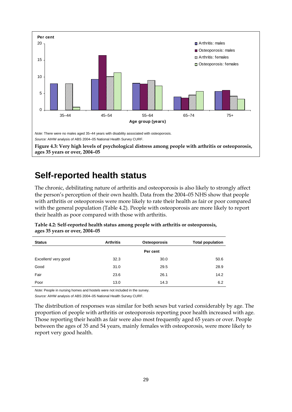<span id="page-36-0"></span>

## **Self-reported health status**

The chronic, debilitating nature of arthritis and osteoporosis is also likely to strongly affect the person's perception of their own health. Data from the 2004–05 NHS show that people with arthritis or osteoporosis were more likely to rate their health as fair or poor compared with the general population (Table 4.2). People with osteoporosis are more likely to report their health as poor compared with those with arthritis.

| Table 4.2: Self-reported health status among people with arthritis or osteoporosis, |  |
|-------------------------------------------------------------------------------------|--|
| ages 35 years or over, 2004-05                                                      |  |

| <b>Status</b>        | <b>Arthritis</b> | Osteoporosis |      |
|----------------------|------------------|--------------|------|
|                      |                  | Per cent     |      |
| Excellent/ very good | 32.3             | 30.0         | 50.6 |
| Good                 | 31.0             | 29.5         | 28.9 |
| Fair                 | 23.6             | 26.1         | 14.2 |
| Poor                 | 13.0             | 14.3         | 6.2  |

*Note:* People in nursing homes and hostels were not included in the survey.

*Source:* AIHW analysis of ABS 2004–05 National Health Survey CURF.

The distribution of responses was similar for both sexes but varied considerably by age. The proportion of people with arthritis or osteoporosis reporting poor health increased with age. Those reporting their health as fair were also most frequently aged 65 years or over. People between the ages of 35 and 54 years, mainly females with osteoporosis, were more likely to report very good health.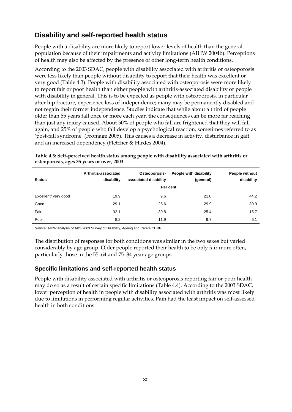### <span id="page-37-0"></span>**Disability and self-reported health status**

People with a disability are more likely to report lower levels of health than the general population because of their impairments and activity limitations (AIHW 2004b). Perceptions of health may also be affected by the presence of other long-term health conditions.

According to the 2003 SDAC, people with disability associated with arthritis or osteoporosis were less likely than people without disability to report that their health was excellent or very good (Table 4.3). People with disability associated with osteoporosis were more likely to report fair or poor health than either people with arthritis-associated disability or people with disability in general. This is to be expected as people with osteoporosis, in particular after hip fracture, experience loss of independence; many may be permanently disabled and not regain their former independence. Studies indicate that while about a third of people older than 65 years fall once or more each year, the consequences can be more far reaching than just any injury caused. About 50% of people who fall are frightened that they will fall again, and 25% of people who fall develop a psychological reaction, sometimes referred to as 'post-fall syndrome' (Fromage 2005). This causes a decrease in activity, disturbance in gait and an increased dependency (Fletcher & Hirdes 2004).

| <b>Status</b>       | Arthritis-associated<br>disability | Osteoporosis-<br>associated disability | People with disability<br>(general) | People without<br>disability |  |  |  |
|---------------------|------------------------------------|----------------------------------------|-------------------------------------|------------------------------|--|--|--|
|                     | Per cent                           |                                        |                                     |                              |  |  |  |
| Excellent/very good | 19.9                               | 9.6                                    | 21.0                                | 44.2                         |  |  |  |
| Good                | 29.1                               | 25.6                                   | 29.9                                | 30.9                         |  |  |  |
| Fair                | 32.1                               | 39.8                                   | 25.4                                | 15.7                         |  |  |  |
| Poor                | 8.2                                | 11.9                                   | 9.7                                 | 6.1                          |  |  |  |

**Table 4.3: Self-perceived health status among people with disability associated with arthritis or osteoporosis, ages 35 years or over, 2003** 

*Source:* AIHW analysis of ABS 2003 Survey of Disability, Ageing and Carers CURF.

The distribution of responses for both conditions was similar in the two sexes but varied considerably by age group. Older people reported their health to be only fair more often, particularly those in the 55–64 and 75–84 year age groups.

#### **Specific limitations and self-reported health status**

People with disability associated with arthritis or osteoporosis reporting fair or poor health may do so as a result of certain specific limitations (Table 4.4). According to the 2003 SDAC, lower perception of health in people with disability associated with arthritis was most likely due to limitations in performing regular activities. Pain had the least impact on self-assessed health in both conditions.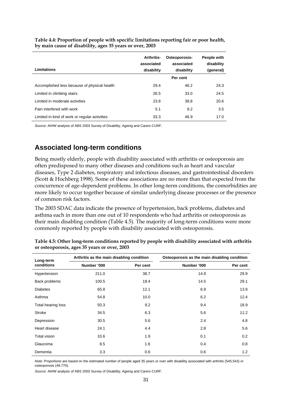| Limitations                                   | <b>Arthritis-</b><br>associated<br>disability | Osteoporosis-<br>associated<br>disability | People with<br>disability<br>(general) |
|-----------------------------------------------|-----------------------------------------------|-------------------------------------------|----------------------------------------|
|                                               |                                               | Per cent                                  |                                        |
| Accomplished less because of physical health  | 29.4                                          | 46.2                                      | 24.3                                   |
| Limited in climbing stairs                    | 26.5                                          | 33.0                                      | 24.5                                   |
| Limited in moderate activities                | 23.8                                          | 38.8                                      | 20.6                                   |
| Pain interfered with work                     | 5.1                                           | 9.2                                       | 3.5                                    |
| Limited in kind of work or regular activities | 33.3                                          | 46.9                                      | 17.0                                   |

<span id="page-38-0"></span>**Table 4.4: Proportion of people with specific limitations reporting fair or poor health, by main cause of disability, ages 35 years or over, 2003** 

*Source:* AIHW analysis of ABS 2003 Survey of Disability, Ageing and Carers CURF.

#### **Associated long-term conditions**

Being mostly elderly, people with disability associated with arthritis or osteoporosis are often predisposed to many other diseases and conditions such as heart and vascular diseases, Type 2 diabetes, respiratory and infectious diseases, and gastrointestinal disorders (Scott & Hochberg 1998). Some of these associations are no more than that expected from the concurrence of age-dependent problems. In other long-term conditions, the comorbidities are more likely to occur together because of similar underlying disease processes or the presence of common risk factors.

The 2003 SDAC data indicate the presence of hypertension, back problems, diabetes and asthma each in more than one out of 10 respondents who had arthritis or osteoporosis as their main disabling condition (Table 4.5). The majority of long-term conditions were more commonly reported by people with disability associated with osteoporosis.

| Long-term           | Arthritis as the main disabling condition |          | Osteoporosis as the main disabling condition |          |  |
|---------------------|-------------------------------------------|----------|----------------------------------------------|----------|--|
| conditions          | Number '000                               | Per cent | Number '000                                  | Per cent |  |
| Hypertension        | 211.0                                     | 38.7     | 14.9                                         | 29.9     |  |
| Back problems       | 100.5                                     | 18.4     | 14.5                                         | 29.1     |  |
| <b>Diabetes</b>     | 65.8                                      | 12.1     | 6.9                                          | 13.9     |  |
| Asthma              | 54.8                                      | 10.0     | 6.2                                          | 12.4     |  |
| Total hearing loss  | 50.3                                      | 9.2      | 9.4                                          | 18.9     |  |
| Stroke              | 34.5                                      | 6.3      | 5.6                                          | 11.2     |  |
| Depression          | 30.5                                      | 5.6      | 2.4                                          | 4.8      |  |
| Heart disease       | 24.1                                      | 4.4      | 2.8                                          | 5.6      |  |
| <b>Total vision</b> | 10.6                                      | 1.9      | 0.1                                          | 0.2      |  |
| Glaucoma            | 8.5                                       | 1.6      | 0.4                                          | 0.8      |  |
| Dementia            | 3.3                                       | 0.6      | 0.6                                          | 1.2      |  |

**Table 4.5: Other long-term conditions reported by people with disability associated with arthritis or osteoporosis, ages 35 years or over, 2003** 

*Note*: Proportions are based on the estimated number of people aged 35 years or over with disability associated with arthritis (545,543) or osteoporosis (49,770).

*Source:* AIHW analysis of ABS 2003 Survey of Disability, Ageing and Carers CURF.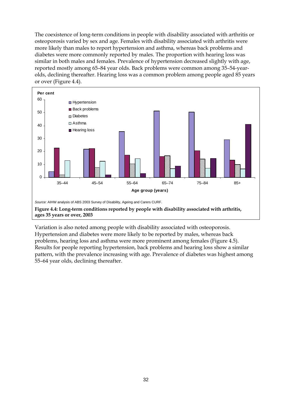<span id="page-39-0"></span>The coexistence of long-term conditions in people with disability associated with arthritis or osteoporosis varied by sex and age. Females with disability associated with arthritis were more likely than males to report hypertension and asthma, whereas back problems and diabetes were more commonly reported by males. The proportion with hearing loss was similar in both males and females. Prevalence of hypertension decreased slightly with age, reported mostly among 65–84 year olds. Back problems were common among 35–54-yearolds, declining thereafter. Hearing loss was a common problem among people aged 85 years or over (Figure 4.4).



Variation is also noted among people with disability associated with osteoporosis. Hypertension and diabetes were more likely to be reported by males, whereas back problems, hearing loss and asthma were more prominent among females (Figure 4.5). Results for people reporting hypertension, back problems and hearing loss show a similar pattern, with the prevalence increasing with age. Prevalence of diabetes was highest among 55–64 year olds, declining thereafter.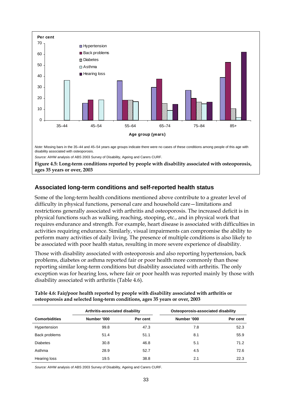<span id="page-40-0"></span>

#### **ages 35 years or over, 2003**

#### **Associated long-term conditions and self-reported health status**

Some of the long-term health conditions mentioned above contribute to a greater level of difficulty in physical functions, personal care and household care—limitations and restrictions generally associated with arthritis and osteoporosis. The increased deficit is in physical functions such as walking, reaching, stooping, etc., and in physical work that requires endurance and strength. For example, heart disease is associated with difficulties in activities requiring endurance. Similarly, visual impairments can compromise the ability to perform many activities of daily living. The presence of multiple conditions is also likely to be associated with poor health status, resulting in more severe experience of disability.

Those with disability associated with osteoporosis and also reporting hypertension, back problems, diabetes or asthma reported fair or poor health more commonly than those reporting similar long-term conditions but disability associated with arthritis. The only exception was for hearing loss, where fair or poor health was reported mainly by those with disability associated with arthritis (Table 4.6).

| Table 4.6: Fair/poor health reported by people with disability associated with arthritis or |
|---------------------------------------------------------------------------------------------|
| osteoporosis and selected long-term conditions, ages 35 years or over, 2003                 |

|                      | Arthritis-associated disability |          | Osteoporosis-associated disability |          |
|----------------------|---------------------------------|----------|------------------------------------|----------|
| <b>Comorbidities</b> | Number '000                     | Per cent | Number '000                        | Per cent |
| Hypertension         | 99.8                            | 47.3     | 7.8                                | 52.3     |
| Back problems        | 51.4                            | 51.1     | 8.1                                | 55.9     |
| <b>Diabetes</b>      | 30.8                            | 46.8     | 5.1                                | 71.2     |
| Asthma               | 28.9                            | 52.7     | 4.5                                | 72.6     |
| Hearing loss         | 19.5                            | 38.8     | 2.1                                | 22.3     |

*Source:* AIHW analysis of ABS 2003 Survey of Disability, Ageing and Carers CURF.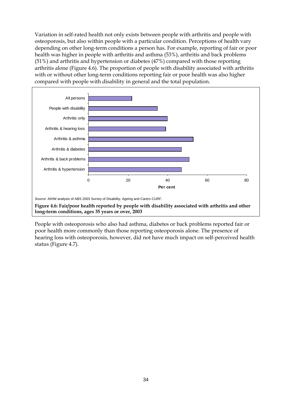<span id="page-41-0"></span>Variation in self-rated health not only exists between people with arthritis and people with osteoporosis, but also within people with a particular condition. Perceptions of health vary depending on other long-term conditions a person has. For example, reporting of fair or poor health was higher in people with arthritis and asthma (53%), arthritis and back problems (51%) and arthritis and hypertension or diabetes (47%) compared with those reporting arthritis alone (Figure 4.6). The proportion of people with disability associated with arthritis with or without other long-term conditions reporting fair or poor health was also higher compared with people with disability in general and the total population.



**Figure 4.6: Fair/poor health reported by people with disability associated with arthritis and other long-term conditions, ages 35 years or over, 2003** 

People with osteoporosis who also had asthma, diabetes or back problems reported fair or poor health more commonly than those reporting osteoporosis alone. The presence of hearing loss with osteoporosis, however, did not have much impact on self-perceived health status (Figure 4.7).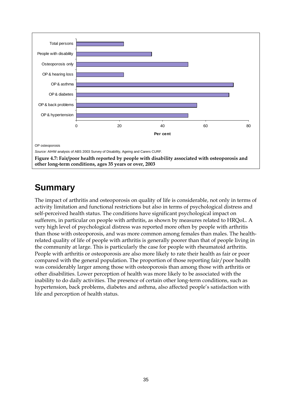<span id="page-42-0"></span>

## **Summary**

The impact of arthritis and osteoporosis on quality of life is considerable, not only in terms of activity limitation and functional restrictions but also in terms of psychological distress and self-perceived health status. The conditions have significant psychological impact on sufferers, in particular on people with arthritis, as shown by measures related to HRQoL. A very high level of psychological distress was reported more often by people with arthritis than those with osteoporosis, and was more common among females than males. The healthrelated quality of life of people with arthritis is generally poorer than that of people living in the community at large. This is particularly the case for people with rheumatoid arthritis. People with arthritis or osteoporosis are also more likely to rate their health as fair or poor compared with the general population. The proportion of those reporting fair/poor health was considerably larger among those with osteoporosis than among those with arthritis or other disabilities. Lower perception of health was more likely to be associated with the inability to do daily activities. The presence of certain other long-term conditions, such as hypertension, back problems, diabetes and asthma, also affected people's satisfaction with life and perception of health status.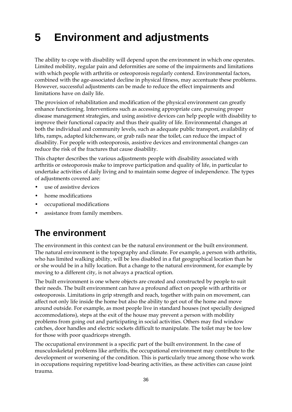# <span id="page-43-0"></span>**5 Environment and adjustments**

The ability to cope with disability will depend upon the environment in which one operates. Limited mobility, regular pain and deformities are some of the impairments and limitations with which people with arthritis or osteoporosis regularly contend. Environmental factors, combined with the age-associated decline in physical fitness, may accentuate these problems. However, successful adjustments can be made to reduce the effect impairments and limitations have on daily life.

The provision of rehabilitation and modification of the physical environment can greatly enhance functioning. Interventions such as accessing appropriate care, pursuing proper disease management strategies, and using assistive devices can help people with disability to improve their functional capacity and thus their quality of life. Environmental changes at both the individual and community levels, such as adequate public transport, availability of lifts, ramps, adapted kitchenware, or grab rails near the toilet, can reduce the impact of disability. For people with osteoporosis, assistive devices and environmental changes can reduce the risk of the fractures that cause disability.

This chapter describes the various adjustments people with disability associated with arthritis or osteoporosis make to improve participation and quality of life, in particular to undertake activities of daily living and to maintain some degree of independence. The types of adjustments covered are:

- use of assistive devices
- home modifications
- occupational modifications
- assistance from family members.

## **The environment**

The environment in this context can be the natural environment or the built environment. The natural environment is the topography and climate. For example, a person with arthritis, who has limited walking ability, will be less disabled in a flat geographical location than he or she would be in a hilly location. But a change to the natural environment, for example by moving to a different city, is not always a practical option.

The built environment is one where objects are created and constructed by people to suit their needs. The built environment can have a profound affect on people with arthritis or osteoporosis. Limitations in grip strength and reach, together with pain on movement, can affect not only life inside the home but also the ability to get out of the home and move around outside. For example, as most people live in standard houses (not specially designed accommodations), steps at the exit of the house may prevent a person with mobility problems from going out and participating in social activities. Others may find window catches, door handles and electric sockets difficult to manipulate. The toilet may be too low for those with poor quadriceps strength.

The occupational environment is a specific part of the built environment. In the case of musculoskeletal problems like arthritis, the occupational environment may contribute to the development or worsening of the condition. This is particularly true among those who work in occupations requiring repetitive load-bearing activities, as these activities can cause joint trauma.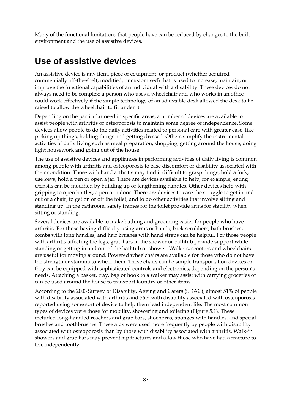<span id="page-44-0"></span>Many of the functional limitations that people have can be reduced by changes to the built environment and the use of assistive devices.

### **Use of assistive devices**

An assistive device is any item, piece of equipment, or product (whether acquired commercially off-the-shelf, modified, or customised) that is used to increase, maintain, or improve the functional capabilities of an individual with a disability. These devices do not always need to be complex; a person who uses a wheelchair and who works in an office could work effectively if the simple technology of an adjustable desk allowed the desk to be raised to allow the wheelchair to fit under it.

Depending on the particular need in specific areas, a number of devices are available to assist people with arthritis or osteoporosis to maintain some degree of independence. Some devices allow people to do the daily activities related to personal care with greater ease, like picking up things, holding things and getting dressed. Others simplify the instrumental activities of daily living such as meal preparation, shopping, getting around the house, doing light housework and going out of the house.

The use of assistive devices and appliances in performing activities of daily living is common among people with arthritis and osteoporosis to ease discomfort or disability associated with their condition. Those with hand arthritis may find it difficult to grasp things, hold a fork, use keys, hold a pen or open a jar. There are devices available to help, for example, eating utensils can be modified by building up or lengthening handles. Other devices help with gripping to open bottles, a pen or a door. There are devices to ease the struggle to get in and out of a chair, to get on or off the toilet, and to do other activities that involve sitting and standing up. In the bathroom, safety frames for the toilet provide arms for stability when sitting or standing.

Several devices are available to make bathing and grooming easier for people who have arthritis. For those having difficulty using arms or hands, back scrubbers, bath brushes, combs with long handles, and hair brushes with hand straps can be helpful. For those people with arthritis affecting the legs, grab bars in the shower or bathtub provide support while standing or getting in and out of the bathtub or shower. Walkers, scooters and wheelchairs are useful for moving around. Powered wheelchairs are available for those who do not have the strength or stamina to wheel them. These chairs can be simple transportation devices or they can be equipped with sophisticated controls and electronics, depending on the person's needs. Attaching a basket, tray, bag or hook to a walker may assist with carrying groceries or can be used around the house to transport laundry or other items.

According to the 2003 Survey of Disability, Ageing and Carers (SDAC), almost 51% of people with disability associated with arthritis and 56% with disability associated with osteoporosis reported using some sort of device to help them lead independent life. The most common types of devices were those for mobility, showering and toileting (Figure 5.1). These included long-handled reachers and grab bars, shoehorns, sponges with handles, and special brushes and toothbrushes. These aids were used more frequently by people with disability associated with osteoporosis than by those with disability associated with arthritis. Walk-in showers and grab bars may prevent hip fractures and allow those who have had a fracture to live independently.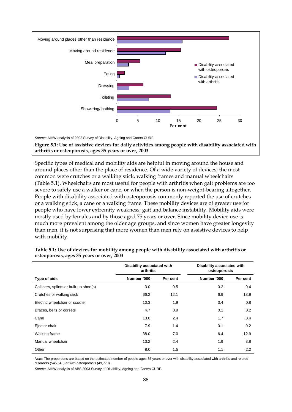<span id="page-45-0"></span>

**arthritis or osteoporosis, ages 35 years or over, 2003** 

Specific types of medical and mobility aids are helpful in moving around the house and around places other than the place of residence. Of a wide variety of devices, the most common were crutches or a walking stick, walking frames and manual wheelchairs (Table 5.1). Wheelchairs are most useful for people with arthritis when gait problems are too severe to safely use a walker or cane, or when the person is non-weight-bearing altogether. People with disability associated with osteoporosis commonly reported the use of crutches or a walking stick, a cane or a walking frame. These mobility devices are of greater use for people who have lower extremity weakness, gait and balance instability. Mobility aids were mostly used by females and by those aged 75 years or over. Since mobility device use is much more prevalent among the older age groups, and since women have greater longevity than men, it is not surprising that more women than men rely on assistive devices to help with mobility.

|                                        | Disability associated with<br>arthritis |          | Disability associated with<br>osteoporosis |          |
|----------------------------------------|-----------------------------------------|----------|--------------------------------------------|----------|
| Type of aids                           | Number '000                             | Per cent | Number '000                                | Per cent |
| Callipers, splints or built-up shoe(s) | 3.0                                     | 0.5      | 0.2                                        | 0.4      |
| Crutches or walking stick              | 66.2                                    | 12.1     | 6.9                                        | 13.9     |
| Electric wheelchair or scooter         | 10.3                                    | 1.9      | 0.4                                        | 0.8      |
| Braces, belts or corsets               | 4.7                                     | 0.9      | 0.1                                        | 0.2      |
| Cane                                   | 13.0                                    | 2.4      | 1.7                                        | 3.4      |
| Ejector chair                          | 7.9                                     | 1.4      | 0.1                                        | 0.2      |
| Walking frame                          | 38.0                                    | 7.0      | 6.4                                        | 12.9     |
| Manual wheelchair                      | 13.2                                    | 2.4      | 1.9                                        | 3.8      |
| Other                                  | 8.0                                     | 1.5      | 1.1                                        | 2.2      |

| Table 5.1: Use of devices for mobility among people with disability associated with arthritis or |  |  |
|--------------------------------------------------------------------------------------------------|--|--|
| osteoporosis, ages 35 years or over, 2003                                                        |  |  |

*Note:* The proportions are based on the estimated number of people ages 35 years or over with disability associated with arthritis and related disorders (545,543) or with osteoporosis (49,770).

*Source*: AIHW analysis of ABS 2003 Survey of Disability, Ageing and Carers CURF.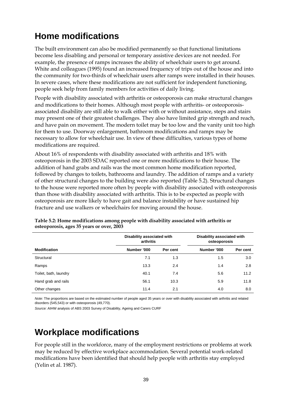# <span id="page-46-0"></span>**Home modifications**

The built environment can also be modified permanently so that functional limitations become less disabling and personal or temporary assistive devices are not needed. For example, the presence of ramps increases the ability of wheelchair users to get around. White and colleagues (1995) found an increased frequency of trips out of the house and into the community for two-thirds of wheelchair users after ramps were installed in their houses. In severe cases, where these modifications are not sufficient for independent functioning, people seek help from family members for activities of daily living.

People with disability associated with arthritis or osteoporosis can make structural changes and modifications to their homes. Although most people with arthritis- or osteoporosisassociated disability are still able to walk either with or without assistance, steps and stairs may present one of their greatest challenges. They also have limited grip strength and reach, and have pain on movement. The modern toilet may be too low and the vanity unit too high for them to use. Doorway enlargement, bathroom modifications and ramps may be necessary to allow for wheelchair use. In view of these difficulties, various types of home modifications are required.

About 16% of respondents with disability associated with arthritis and 18% with osteoporosis in the 2003 SDAC reported one or more modifications to their house. The addition of hand grabs and rails was the most common home modification reported, followed by changes to toilets, bathrooms and laundry. The addition of ramps and a variety of other structural changes to the building were also reported (Table 5.2). Structural changes to the house were reported more often by people with disability associated with osteoporosis than those with disability associated with arthritis. This is to be expected as people with osteoporosis are more likely to have gait and balance instability or have sustained hip fracture and use walkers or wheelchairs for moving around the house.

|                       | Disability associated with<br>arthritis |          | Disability associated with<br>osteoporosis |          |
|-----------------------|-----------------------------------------|----------|--------------------------------------------|----------|
| <b>Modification</b>   | Number '000                             | Per cent | Number '000                                | Per cent |
| Structural            | 7.1                                     | 1.3      | 1.5                                        | 3.0      |
| Ramps                 | 13.3                                    | 2.4      | 1.4                                        | 2.8      |
| Toilet, bath, laundry | 40.1                                    | 7.4      | 5.6                                        | 11.2     |
| Hand grab and rails   | 56.1                                    | 10.3     | 5.9                                        | 11.8     |
| Other changes         | 11.4                                    | 2.1      | 4.0                                        | 8.0      |

**Table 5.2: Home modifications among people with disability associated with arthritis or osteoporosis, ages 35 years or over, 2003** 

*Note:* The proportions are based on the estimated number of people aged 35 years or over with disability associated with arthritis and related disorders (545,543) or with osteoporosis (49,770).

*Source:* AIHW analysis of ABS 2003 Survey of Disability, Ageing and Carers CURF

## **Workplace modifications**

For people still in the workforce, many of the employment restrictions or problems at work may be reduced by effective workplace accommodation. Several potential work-related modifications have been identified that should help people with arthritis stay employed (Yelin et al. 1987).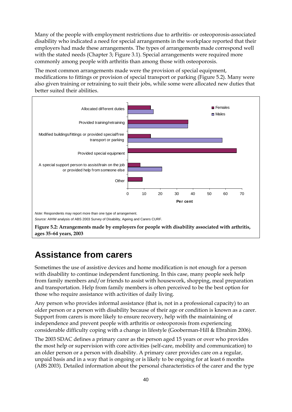<span id="page-47-0"></span>Many of the people with employment restrictions due to arthritis- or osteoporosis-associated disability who indicated a need for special arrangements in the workplace reported that their employers had made these arrangements. The types of arrangements made correspond well with the stated needs (Chapter 3; Figure 3.1). Special arrangements were required more commonly among people with arthritis than among those with osteoporosis.

The most common arrangements made were the provision of special equipment, modifications to fittings or provision of special transport or parking (Figure 5.2). Many were also given training or retraining to suit their jobs, while some were allocated new duties that better suited their abilities.



## **Assistance from carers**

Sometimes the use of assistive devices and home modification is not enough for a person with disability to continue independent functioning. In this case, many people seek help from family members and/or friends to assist with housework, shopping, meal preparation and transportation. Help from family members is often perceived to be the best option for those who require assistance with activities of daily living.

Any person who provides informal assistance (that is, not in a professional capacity) to an older person or a person with disability because of their age or condition is known as a carer. Support from carers is more likely to ensure recovery, help with the maintaining of independence and prevent people with arthritis or osteoporosis from experiencing considerable difficulty coping with a change in lifestyle (Gooberman-Hill & Ebrahim 2006).

The 2003 SDAC defines a primary carer as the person aged 15 years or over who provides the most help or supervision with core activities (self-care, mobility and communication) to an older person or a person with disability. A primary carer provides care on a regular, unpaid basis and in a way that is ongoing or is likely to be ongoing for at least 6 months (ABS 2003). Detailed information about the personal characteristics of the carer and the type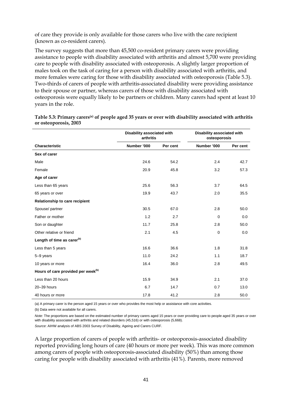<span id="page-48-0"></span>of care they provide is only available for those carers who live with the care recipient (known as co-resident carers).

The survey suggests that more than 45,500 co-resident primary carers were providing assistance to people with disability associated with arthritis and almost 5,700 were providing care to people with disability associated with osteoporosis. A slightly larger proportion of males took on the task of caring for a person with disability associated with arthritis, and more females were caring for those with disability associated with osteoporosis (Table 5.3). Two-thirds of carers of people with arthritis-associated disability were providing assistance to their spouse or partner, whereas carers of those with disability associated with osteoporosis were equally likely to be partners or children. Many carers had spent at least 10 years in the role.

|                                                | Disability associated with<br>arthritis |          | Disability associated with<br>osteoporosis |          |
|------------------------------------------------|-----------------------------------------|----------|--------------------------------------------|----------|
| <b>Characteristic</b>                          | Number '000                             | Per cent | Number '000                                | Per cent |
| Sex of carer                                   |                                         |          |                                            |          |
| Male                                           | 24.6                                    | 54.2     | 2.4                                        | 42.7     |
| Female                                         | 20.9                                    | 45.8     | 3.2                                        | 57.3     |
| Age of carer                                   |                                         |          |                                            |          |
| Less than 65 years                             | 25.6                                    | 56.3     | 3.7                                        | 64.5     |
| 65 years or over                               | 19.9                                    | 43.7     | 2.0                                        | 35.5     |
| Relationship to care recipient                 |                                         |          |                                            |          |
| Spouse/partner                                 | 30.5                                    | 67.0     | 2.8                                        | 50.0     |
| Father or mother                               | 1.2                                     | 2.7      | $\mathbf 0$                                | 0.0      |
| Son or daughter                                | 11.7                                    | 25.8     | 2.8                                        | 50.0     |
| Other relative or friend                       | 2.1                                     | 4.5      | $\mathbf 0$                                | 0.0      |
| Length of time as carer <sup>(b)</sup>         |                                         |          |                                            |          |
| Less than 5 years                              | 16.6                                    | 36.6     | 1.8                                        | 31.8     |
| 5-9 years                                      | 11.0                                    | 24.2     | 1.1                                        | 18.7     |
| 10 years or more                               | 16.4                                    | 36.0     | 2.8                                        | 49.5     |
| Hours of care provided per week <sup>(b)</sup> |                                         |          |                                            |          |
| Less than 20 hours                             | 15.9                                    | 34.9     | 2.1                                        | 37.0     |
| 20-39 hours                                    | 6.7                                     | 14.7     | 0.7                                        | 13.0     |
| 40 hours or more                               | 17.8                                    | 41.2     | 2.8                                        | 50.0     |

**Table 5.3: Primary carers(a) of people aged 35 years or over with disability associated with arthritis or osteoporosis, 2003** 

(a) A primary carer is the person aged 15 years or over who provides the most help or assistance with core activities.

(b) Data were not available for all carers.

*Note:* The proportions are based on the estimated number of primary carers aged 15 years or over providing care to people aged 35 years or over with disability associated with arthritis and related disorders (45,516) or with osteoporosis (5,668).

*Source*: AIHW analysis of ABS 2003 Survey of Disability, Ageing and Carers CURF.

A large proportion of carers of people with arthritis- or osteoporosis-associated disability reported providing long hours of care (40 hours or more per week). This was more common among carers of people with osteoporosis-associated disability (50%) than among those caring for people with disability associated with arthritis (41%). Parents, more removed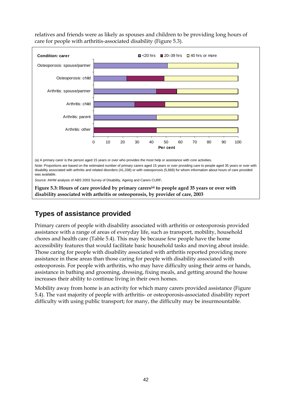

<span id="page-49-0"></span>relatives and friends were as likely as spouses and children to be providing long hours of care for people with arthritis-associated disability (Figure 5.3).

### **Types of assistance provided**

Primary carers of people with disability associated with arthritis or osteoporosis provided assistance with a range of areas of everyday life, such as transport, mobility, household chores and health care (Table 5.4). This may be because few people have the home accessibility features that would facilitate basic household tasks and moving about inside. Those caring for people with disability associated with arthritis reported providing more assistance in these areas than those caring for people with disability associated with osteoporosis. For people with arthritis, who may have difficulty using their arms or hands, assistance in bathing and grooming, dressing, fixing meals, and getting around the house increases their ability to continue living in their own homes.

**disability associated with arthritis or osteoporosis, by provider of care, 2003**

Mobility away from home is an activity for which many carers provided assistance (Figure 5.4). The vast majority of people with arthritis- or osteoporosis-associated disability report difficulty with using public transport; for many, the difficulty may be insurmountable.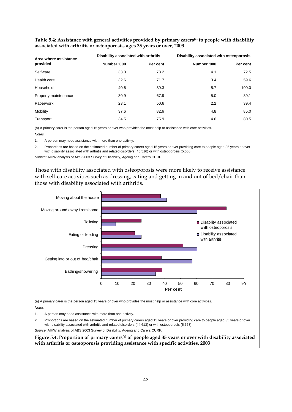| Area where assistance | Disability associated with arthritis |          | Disability associated with osteoporosis |          |
|-----------------------|--------------------------------------|----------|-----------------------------------------|----------|
| provided              | Number '000                          | Per cent | Number '000                             | Per cent |
| Self-care             | 33.3                                 | 73.2     | 4.1                                     | 72.5     |
| Health care           | 32.6                                 | 71.7     | 3.4                                     | 59.6     |
| Household             | 40.6                                 | 89.3     | 5.7                                     | 100.0    |
| Property maintenance  | 30.9                                 | 67.9     | 5.0                                     | 89.1     |
| Paperwork             | 23.1                                 | 50.6     | 2.2                                     | 39.4     |
| Mobility              | 37.6                                 | 82.6     | 4.8                                     | 85.0     |
| Transport             | 34.5                                 | 75.9     | 4.6                                     | 80.5     |

<span id="page-50-0"></span>**Table 5.4: Assistance with general activities provided by primary carers(a) to people with disability associated with arthritis or osteoporosis, ages 35 years or over, 2003** 

(a) A primary carer is the person aged 15 years or over who provides the most help or assistance with core activities. *Notes* 

1. A person may need assistance with more than one activity.

2. Proportions are based on the estimated number of primary carers aged 15 years or over providing care to people aged 35 years or over with disability associated with arthritis and related disorders (45,516) or with osteoporosis (5,668).

*Source:* AIHW analysis of ABS 2003 Survey of Disability, Ageing and Carers CURF.

Those with disability associated with osteoporosis were more likely to receive assistance with self-care activities such as dressing, eating and getting in and out of bed/chair than those with disability associated with arthritis.



(a) A primary carer is the person aged 15 years or over who provides the most help or assistance with core activities. *Notes* 

1. A person may need assistance with more than one activity.

2. Proportions are based on the estimated number of primary carers aged 15 years or over providing care to people aged 35 years or over with disability associated with arthritis and related disorders (44,613) or with osteoporosis (5,668).

*Source:* AIHW analysis of ABS 2003 Survey of Disability, Ageing and Carers CURF.

**Figure 5.4: Proportion of primary carers(a) of people aged 35 years or over with disability associated with arthritis or osteoporosis providing assistance with specific activities, 2003**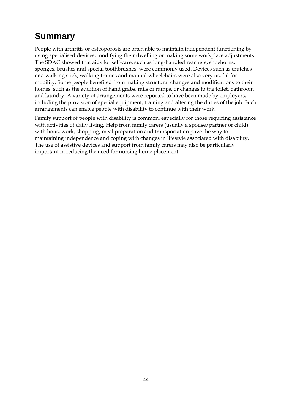# <span id="page-51-0"></span>**Summary**

People with arthritis or osteoporosis are often able to maintain independent functioning by using specialised devices, modifying their dwelling or making some workplace adjustments. The SDAC showed that aids for self-care, such as long-handled reachers, shoehorns, sponges, brushes and special toothbrushes, were commonly used. Devices such as crutches or a walking stick, walking frames and manual wheelchairs were also very useful for mobility. Some people benefited from making structural changes and modifications to their homes, such as the addition of hand grabs, rails or ramps, or changes to the toilet, bathroom and laundry. A variety of arrangements were reported to have been made by employers, including the provision of special equipment, training and altering the duties of the job. Such arrangements can enable people with disability to continue with their work.

Family support of people with disability is common, especially for those requiring assistance with activities of daily living. Help from family carers (usually a spouse/partner or child) with housework, shopping, meal preparation and transportation pave the way to maintaining independence and coping with changes in lifestyle associated with disability. The use of assistive devices and support from family carers may also be particularly important in reducing the need for nursing home placement.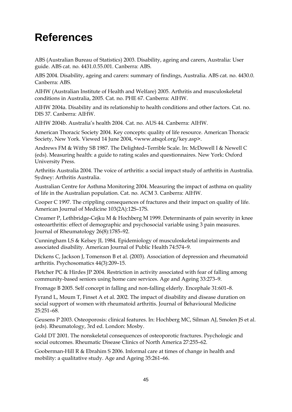# <span id="page-52-0"></span>**References**

ABS (Australian Bureau of Statistics) 2003. Disability, ageing and carers, Australia: User guide. ABS cat. no. 4431.0.55.001. Canberra: ABS.

ABS 2004. Disability, ageing and carers: summary of findings, Australia. ABS cat. no. 4430.0. Canberra: ABS.

AIHW (Australian Institute of Health and Welfare) 2005. Arthritis and musculoskeletal conditions in Australia, 2005. Cat. no. PHE 67. Canberra: AIHW.

AIHW 2004a. Disability and its relationship to health conditions and other factors. Cat. no. DIS 37. Canberra: AIHW.

AIHW 2004b. Australia's health 2004. Cat. no. AUS 44. Canberra: AIHW.

American Thoracic Society 2004. Key concepts: quality of life resource. American Thoracic Society, New York. Viewed 14 June 2004, <www.atsqol.org/key.asp>.

Andrews FM & Withy SB 1987. The Delighted–Terrible Scale. In: McDowell I & Newell C (eds). Measuring health: a guide to rating scales and questionnaires. New York: Oxford University Press.

Arthritis Australia 2004. The voice of arthritis: a social impact study of arthritis in Australia. Sydney: Arthritis Australia.

Australian Centre for Asthma Monitoring 2004. Measuring the impact of asthma on quality of life in the Australian population. Cat. no. ACM 3. Canberra: AIHW.

Cooper C 1997. The crippling consequences of fractures and their impact on quality of life. American Journal of Medicine 103(2A):12S–17S.

Creamer P, Lethbridge-Cejku M & Hochberg M 1999. Determinants of pain severity in knee osteoarthritis: effect of demographic and psychosocial variable using 3 pain measures. Journal of Rheumatology 26(8):1785–92.

Cunningham LS & Kelsey JL 1984. Epidemiology of musculoskeletal impairments and associated disability. American Journal of Public Health 74:574–9.

Dickens C, Jackson J, Tomenson B et al. (2003). Association of depression and rheumatoid arthritis. Psychosomatics 44(3):209–15.

Fletcher PC & Hirdes JP 2004. Restriction in activity associated with fear of falling among community-based seniors using home care services. Age and Ageing 33:273–9.

Fromage B 2005. Self concept in falling and non-falling elderly. Encephale 31:601–8.

Fyrand L, Moum T, Finset A et al. 2002. The impact of disability and disease duration on social support of women with rheumatoid arthritis. Journal of Behavioural Medicine 25:251–68.

Geusens P 2003. Osteoporosis: clinical features. In: Hochberg MC, Silman AJ, Smolen JS et al. (eds). Rheumatology, 3rd ed. London: Mosby.

Gold DT 2001. The nonskeletal consequences of osteoporotic fractures. Psychologic and social outcomes. Rheumatic Disease Clinics of North America 27:255–62.

Gooberman-Hill R & Ebrahim S 2006. Informal care at times of change in health and mobility: a qualitative study. Age and Ageing 35:261–66.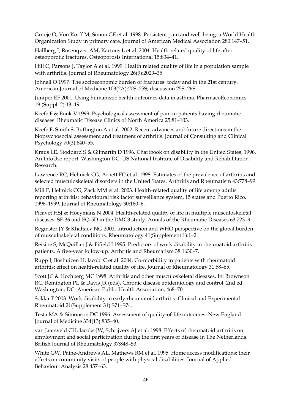Gureje O, Von Korff M, Simon GE et al. 1998. Persistent pain and well-being: a World Health Organization Study in primary care. Journal of American Medical Association 280:147–51.

Hallberg I, Rosenqvist AM, Kartous L et al. 2004. Health-related quality of life after osteoporotic fractures. Osteoporosis International 15:834–41.

Hill C, Parsons J, Taylor A et al. 1999. Health related quality of life in a population sample with arthritis. Journal of Rheumatology 26(9):2029–35.

Johnell O 1997. The socioeconomic burden of fractures: today and in the 21st century. American Journal of Medicine 103(2A):20S–25S; discussion 25S–26S.

Juniper EF 2001. Using humanistic health outcomes data in asthma. PharmacoEconomics 19 (Suppl. 2):13–19.

Keefe F & Bonk V 1999. Psychological assessment of pain in patients having rheumatic diseases. Rheumatic Disease Clinics of North America 25:81–103.

Keefe F, Smith S, Buffington A et al. 2002. Recent advances and future directions in the biopsychosocial assessment and treatment of arthritis. Journal of Consulting and Clinical Psychology 70(3):640–55.

Kraus LE, Stoddard S & Gilmartin D 1996. Chartbook on disability in the United States, 1996. An InfoUse report. Washington DC: US National Institute of Disability and Rehabilitation Research.

Lawrence RC, Helmick CG, Arnett FC et al. 1998. Estimates of the prevalence of arthritis and selected musculoskeletal disorders in the United States. Arthritis and Rheumatism 43:778–99.

Mili F, Helmick CG, Zack MM et al. 2003. Health-related quality of life among adults reporting arthritis: behavioural risk factor surveillance system, 15 states and Puerto Rico, 1996–1999. Journal of Rheumatology 30:160–6.

Picavet HSJ & Hoeymans N 2004. Health-related quality of life in multiple musculoskeletal diseases: SF-36 and EQ-5D in the DMC3 study. Annals of the Rheumatic Diseases 63:723–9.

Reginster JY & Khaltaev NG 2002. Introduction and WHO perspective on the global burden of musculoskeletal conditions. Rheumatology 41(Supplement 1):1–2.

Reisine S, McQuillan J & Fifield J 1995. Predictors of work disability in rheumatoid arthritis patients. A five-year follow-up. Arthritis and Rheumatism 38:1630–7.

Rupp I, Boshuizen H, Jacobi C et al. 2004. Co-morbidity in patients with rheumatoid arthritis: effect on health-related quality of life. Journal of Rheumatology 31:58–65.

Scott JC & Hochberg MC 1998. Arthritis and other musculoskeletal diseases. In: Brownson RC, Remington PL & Davis JR (eds). Chronic disease epidemiology and control, 2nd ed. Washington, DC: American Public Health Association, 468–70.

Sokka T 2003. Work disability in early rheumatoid arthritis. Clinical and Experimental Rheumatoid 21(Supplement 31):S71–S74.

Testa MA & Simonson DC 1996. Assessment of quality-of-life outcomes. New England Journal of Medicine 334(13):835–40.

van Jaarsveld CH, Jacobs JW, Schrijvers AJ et al. 1998. Effects of rheumatoid arthritis on employment and social participation during the first years of disease in The Netherlands. British Journal of Rheumatology 37:848–53.

White GW, Paine-Andrews AL, Mathews RM et al. 1995. Home access modifications: their effects on community visits of people with physical disabilities. Journal of Applied Behaviour Analysis 28:457–63.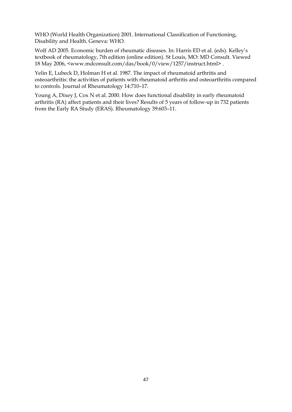WHO (World Health Organization) 2001. International Classification of Functioning, Disability and Health. Geneva: WHO.

Wolf AD 2005. Economic burden of rheumatic diseases. In: Harris ED et al. (eds). Kelley's textbook of rheumatology, 7th edition (online edition). St Louis, MO: MD Consult. Viewed 18 May 2006, <www.mdconsult.com/das/book/0/view/1257/instruct.html> .

Yelin E, Lubeck D, Holman H et al. 1987. The impact of rheumatoid arthritis and osteoarthritis: the activities of patients with rheumatoid arthritis and osteoarthritis compared to controls. Journal of Rheumatology 14:710–17.

Young A, Dixey J, Cox N et al. 2000. How does functional disability in early rheumatoid arthritis (RA) affect patients and their lives? Results of 5 years of follow-up in 732 patients from the Early RA Study (ERAS). Rheumatology 39:603–11.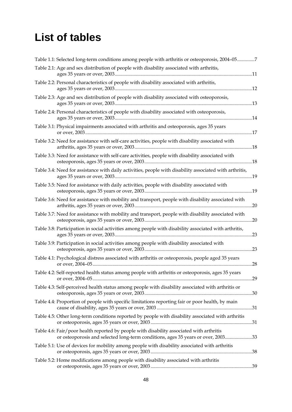# <span id="page-55-0"></span>**List of tables**

| Table 2.1: Age and sex distribution of people with disability associated with arthritis,<br>Table 2.2: Personal characteristics of people with disability associated with arthritis,<br>Table 2.3: Age and sex distribution of people with disability associated with osteoporosis,<br>Table 2.4: Personal characteristics of people with disability associated with osteoporosis,<br>14<br>Table 3.1: Physical impairments associated with arthritis and osteoporosis, ages 35 years<br>Table 3.2: Need for assistance with self-care activities, people with disability associated with |
|-------------------------------------------------------------------------------------------------------------------------------------------------------------------------------------------------------------------------------------------------------------------------------------------------------------------------------------------------------------------------------------------------------------------------------------------------------------------------------------------------------------------------------------------------------------------------------------------|
|                                                                                                                                                                                                                                                                                                                                                                                                                                                                                                                                                                                           |
|                                                                                                                                                                                                                                                                                                                                                                                                                                                                                                                                                                                           |
|                                                                                                                                                                                                                                                                                                                                                                                                                                                                                                                                                                                           |
|                                                                                                                                                                                                                                                                                                                                                                                                                                                                                                                                                                                           |
|                                                                                                                                                                                                                                                                                                                                                                                                                                                                                                                                                                                           |
|                                                                                                                                                                                                                                                                                                                                                                                                                                                                                                                                                                                           |
| Table 3.3: Need for assistance with self-care activities, people with disability associated with                                                                                                                                                                                                                                                                                                                                                                                                                                                                                          |
| Table 3.4: Need for assistance with daily activities, people with disability associated with arthritis,                                                                                                                                                                                                                                                                                                                                                                                                                                                                                   |
| Table 3.5: Need for assistance with daily activities, people with disability associated with                                                                                                                                                                                                                                                                                                                                                                                                                                                                                              |
| Table 3.6: Need for assistance with mobility and transport, people with disability associated with<br>.20                                                                                                                                                                                                                                                                                                                                                                                                                                                                                 |
| Table 3.7: Need for assistance with mobility and transport, people with disability associated with                                                                                                                                                                                                                                                                                                                                                                                                                                                                                        |
| Table 3.8: Participation in social activities among people with disability associated with arthritis,<br>.23                                                                                                                                                                                                                                                                                                                                                                                                                                                                              |
| Table 3.9: Participation in social activities among people with disability associated with                                                                                                                                                                                                                                                                                                                                                                                                                                                                                                |
| Table 4.1: Psychological distress associated with arthritis or osteoporosis, people aged 35 years                                                                                                                                                                                                                                                                                                                                                                                                                                                                                         |
| Table 4.2: Self-reported health status among people with arthritis or osteoporosis, ages 35 years                                                                                                                                                                                                                                                                                                                                                                                                                                                                                         |
| Table 4.3: Self-perceived health status among people with disability associated with arthritis or                                                                                                                                                                                                                                                                                                                                                                                                                                                                                         |
| Table 4.4: Proportion of people with specific limitations reporting fair or poor health, by main                                                                                                                                                                                                                                                                                                                                                                                                                                                                                          |
| Table 4.5: Other long-term conditions reported by people with disability associated with arthritis                                                                                                                                                                                                                                                                                                                                                                                                                                                                                        |
| Table 4.6: Fair/poor health reported by people with disability associated with arthritis<br>or osteoporosis and selected long-term conditions, ages 35 years or over, 200333                                                                                                                                                                                                                                                                                                                                                                                                              |
| Table 5.1: Use of devices for mobility among people with disability associated with arthritis                                                                                                                                                                                                                                                                                                                                                                                                                                                                                             |
| Table 5.2: Home modifications among people with disability associated with arthritis                                                                                                                                                                                                                                                                                                                                                                                                                                                                                                      |